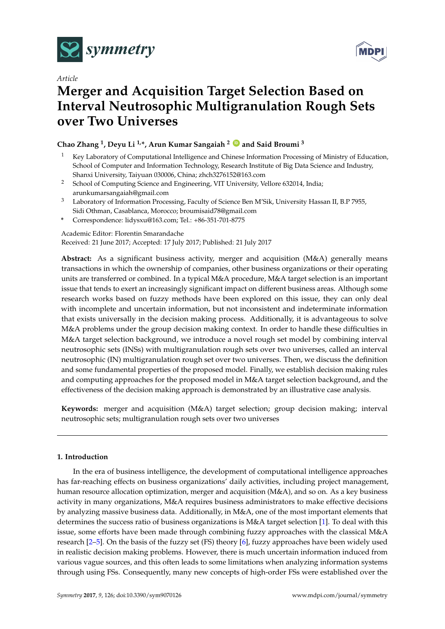



# *Article*

# **Merger and Acquisition Target Selection Based on Interval Neutrosophic Multigranulation Rough Sets over Two Universes**

# **Chao Zhang <sup>1</sup> , Deyu Li 1,\*, Arun Kumar Sangaiah <sup>2</sup> [ID](https://orcid.org/0000-0000-000-000X) and Said Broumi <sup>3</sup>**

- <sup>1</sup> Key Laboratory of Computational Intelligence and Chinese Information Processing of Ministry of Education, School of Computer and Information Technology, Research Institute of Big Data Science and Industry, Shanxi University, Taiyuan 030006, China; zhch3276152@163.com
- <sup>2</sup> School of Computing Science and Engineering, VIT University, Vellore 632014, India; arunkumarsangaiah@gmail.com
- <sup>3</sup> Laboratory of Information Processing, Faculty of Science Ben M'Sik, University Hassan II, B.P 7955, Sidi Othman, Casablanca, Morocco; broumisaid78@gmail.com
- **\*** Correspondence: lidysxu@163.com; Tel.: +86-351-701-8775

Academic Editor: Florentin Smarandache

Received: 21 June 2017; Accepted: 17 July 2017; Published: 21 July 2017

**Abstract:** As a significant business activity, merger and acquisition (M&A) generally means transactions in which the ownership of companies, other business organizations or their operating units are transferred or combined. In a typical M&A procedure, M&A target selection is an important issue that tends to exert an increasingly significant impact on different business areas. Although some research works based on fuzzy methods have been explored on this issue, they can only deal with incomplete and uncertain information, but not inconsistent and indeterminate information that exists universally in the decision making process. Additionally, it is advantageous to solve M&A problems under the group decision making context. In order to handle these difficulties in M&A target selection background, we introduce a novel rough set model by combining interval neutrosophic sets (INSs) with multigranulation rough sets over two universes, called an interval neutrosophic (IN) multigranulation rough set over two universes. Then, we discuss the definition and some fundamental properties of the proposed model. Finally, we establish decision making rules and computing approaches for the proposed model in M&A target selection background, and the effectiveness of the decision making approach is demonstrated by an illustrative case analysis.

**Keywords:** merger and acquisition (M&A) target selection; group decision making; interval neutrosophic sets; multigranulation rough sets over two universes

# **1. Introduction**

In the era of business intelligence, the development of computational intelligence approaches has far-reaching effects on business organizations' daily activities, including project management, human resource allocation optimization, merger and acquisition (M&A), and so on. As a key business activity in many organizations, M&A requires business administrators to make effective decisions by analyzing massive business data. Additionally, in M&A, one of the most important elements that determines the success ratio of business organizations is M&A target selection [\[1\]](#page-18-0). To deal with this issue, some efforts have been made through combining fuzzy approaches with the classical M&A research [\[2–](#page-18-1)[5\]](#page-18-2). On the basis of the fuzzy set (FS) theory [\[6\]](#page-18-3), fuzzy approaches have been widely used in realistic decision making problems. However, there is much uncertain information induced from various vague sources, and this often leads to some limitations when analyzing information systems through using FSs. Consequently, many new concepts of high-order FSs were established over the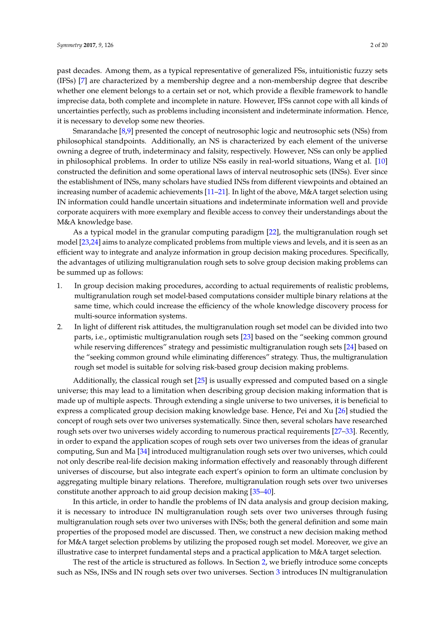past decades. Among them, as a typical representative of generalized FSs, intuitionistic fuzzy sets (IFSs) [\[7\]](#page-18-4) are characterized by a membership degree and a non-membership degree that describe whether one element belongs to a certain set or not, which provide a flexible framework to handle imprecise data, both complete and incomplete in nature. However, IFSs cannot cope with all kinds of uncertainties perfectly, such as problems including inconsistent and indeterminate information. Hence, it is necessary to develop some new theories.

Smarandache [\[8,](#page-18-5)[9\]](#page-18-6) presented the concept of neutrosophic logic and neutrosophic sets (NSs) from philosophical standpoints. Additionally, an NS is characterized by each element of the universe owning a degree of truth, indeterminacy and falsity, respectively. However, NSs can only be applied in philosophical problems. In order to utilize NSs easily in real-world situations, Wang et al. [\[10\]](#page-18-7) constructed the definition and some operational laws of interval neutrosophic sets (INSs). Ever since the establishment of INSs, many scholars have studied INSs from different viewpoints and obtained an increasing number of academic achievements [\[11](#page-18-8)[–21\]](#page-19-0). In light of the above, M&A target selection using IN information could handle uncertain situations and indeterminate information well and provide corporate acquirers with more exemplary and flexible access to convey their understandings about the M&A knowledge base.

As a typical model in the granular computing paradigm [\[22\]](#page-19-1), the multigranulation rough set model [\[23,](#page-19-2)[24\]](#page-19-3) aims to analyze complicated problems from multiple views and levels, and it is seen as an efficient way to integrate and analyze information in group decision making procedures. Specifically, the advantages of utilizing multigranulation rough sets to solve group decision making problems can be summed up as follows:

- 1. In group decision making procedures, according to actual requirements of realistic problems, multigranulation rough set model-based computations consider multiple binary relations at the same time, which could increase the efficiency of the whole knowledge discovery process for multi-source information systems.
- 2. In light of different risk attitudes, the multigranulation rough set model can be divided into two parts, i.e., optimistic multigranulation rough sets [\[23\]](#page-19-2) based on the "seeking common ground while reserving differences" strategy and pessimistic multigranulation rough sets [\[24\]](#page-19-3) based on the "seeking common ground while eliminating differences" strategy. Thus, the multigranulation rough set model is suitable for solving risk-based group decision making problems.

Additionally, the classical rough set  $[25]$  is usually expressed and computed based on a single universe; this may lead to a limitation when describing group decision making information that is made up of multiple aspects. Through extending a single universe to two universes, it is beneficial to express a complicated group decision making knowledge base. Hence, Pei and Xu [\[26\]](#page-19-5) studied the concept of rough sets over two universes systematically. Since then, several scholars have researched rough sets over two universes widely according to numerous practical requirements [\[27](#page-19-6)[–33\]](#page-19-7). Recently, in order to expand the application scopes of rough sets over two universes from the ideas of granular computing, Sun and Ma [\[34\]](#page-19-8) introduced multigranulation rough sets over two universes, which could not only describe real-life decision making information effectively and reasonably through different universes of discourse, but also integrate each expert's opinion to form an ultimate conclusion by aggregating multiple binary relations. Therefore, multigranulation rough sets over two universes constitute another approach to aid group decision making [\[35–](#page-19-9)[40\]](#page-19-10).

In this article, in order to handle the problems of IN data analysis and group decision making, it is necessary to introduce IN multigranulation rough sets over two universes through fusing multigranulation rough sets over two universes with INSs; both the general definition and some main properties of the proposed model are discussed. Then, we construct a new decision making method for M&A target selection problems by utilizing the proposed rough set model. Moreover, we give an illustrative case to interpret fundamental steps and a practical application to M&A target selection.

The rest of the article is structured as follows. In Section [2,](#page-2-0) we briefly introduce some concepts such as NSs, INSs and IN rough sets over two universes. Section [3](#page-4-0) introduces IN multigranulation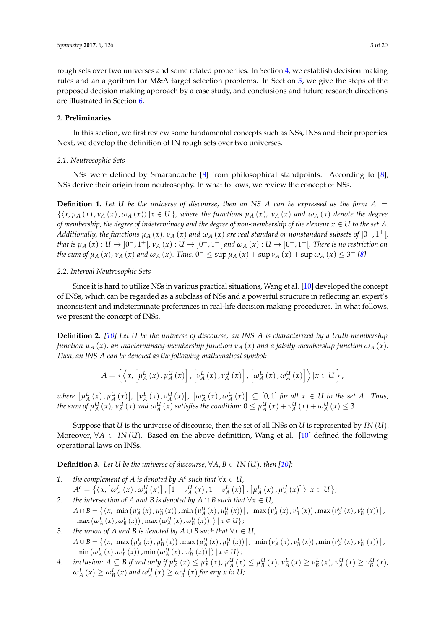rough sets over two universes and some related properties. In Section [4,](#page-10-0) we establish decision making rules and an algorithm for M&A target selection problems. In Section [5,](#page-11-0) we give the steps of the proposed decision making approach by a case study, and conclusions and future research directions are illustrated in Section [6.](#page-17-0)

# <span id="page-2-0"></span>**2. Preliminaries**

In this section, we first review some fundamental concepts such as NSs, INSs and their properties. Next, we develop the definition of IN rough sets over two universes.

# *2.1. Neutrosophic Sets*

NSs were defined by Smarandache [\[8\]](#page-18-5) from philosophical standpoints. According to [\[8\]](#page-18-5), NSs derive their origin from neutrosophy. In what follows, we review the concept of NSs.

**Definition 1.** Let U be the universe of discourse, then an NS A can be expressed as the form  $A =$  $\{\langle x,\mu_A(x),\nu_A(x),\omega_A(x)\rangle | x \in U\}$ , where the functions  $\mu_A(x)$ ,  $\nu_A(x)$  and  $\omega_A(x)$  denote the degree *of membership, the degree of indeterminacy and the degree of non-membership of the element*  $x \in U$  *to the set A.* Additionally, the functions  $\mu_A\left(x\right)$ ,  $\nu_A\left(x\right)$  and  $\omega_A\left(x\right)$  are real standard or nonstandard subsets of  $]0^-,1^+[$ *that is*  $\mu_A(x): U \to ]0^-, 1^+[, \nu_A(x): U \to ]0^-, 1^+[$  and  $\omega_A(x): U \to ]0^-, 1^+[$ . There is no restriction on the sum of  $\mu_A(x)$ ,  $\nu_A(x)$  and  $\omega_A(x)$ . Thus,  $0^- \leq \sup \mu_A(x) + \sup \nu_A(x) + \sup \omega_A(x) \leq 3^+$  [\[8\]](#page-18-5).

# *2.2. Interval Neutrosophic Sets*

Since it is hard to utilize NSs in various practical situations, Wang et al. [\[10\]](#page-18-7) developed the concept of INSs, which can be regarded as a subclass of NSs and a powerful structure in reflecting an expert's inconsistent and indeterminate preferences in real-life decision making procedures. In what follows, we present the concept of INSs.

**Definition 2.** *[\[10\]](#page-18-7) Let U be the universe of discourse; an INS A is characterized by a truth-membership function*  $\mu_A(x)$ , an indeterminacy-membership function  $\nu_A(x)$  and a falsity-membership function  $\omega_A(x)$ . *Then, an INS A can be denoted as the following mathematical symbol:*

$$
A = \left\{ \left\langle x, \left[ \mu_A^L(x), \mu_A^U(x) \right], \left[ \nu_A^L(x), \nu_A^U(x) \right], \left[ \omega_A^L(x), \omega_A^U(x) \right] \right\rangle | x \in U \right\},\
$$

where  $[\mu_A^L(x), \mu_A^U(x)]$ ,  $[\nu_A^L(x), \nu_A^U(x)]$ ,  $[\omega_A^L(x), \omega_A^U(x)] \subseteq [0,1]$  for all  $x \in U$  to the set A. Thus, the sum of  $\mu_A^U(x)$ ,  $\nu_A^U(x)$  and  $\omega_A^U(x)$  satisfies the condition:  $0 \le \mu_A^U(x) + \nu_A^U(x) + \omega_A^U(x) \le 3$ .

Suppose that *U* is the universe of discourse, then the set of all INSs on *U* is represented by *IN* (*U*). Moreover, ∀*A* ∈ *IN* (*U*). Based on the above definition, Wang et al. [\[10\]](#page-18-7) defined the following operational laws on INSs.

**Definition 3.** Let *U* be the universe of discourse, ∀A,  $B \in IN(U)$ , then [\[10\]](#page-18-7):

- *1. the complement of A is denoted by A<sup><i>c*</sup> such that  $\forall x \in U$ ,  $A^{c} = \left\{ \left\langle x, \left[ \omega_{A}^{L}\left(x\right), \omega_{A}^{U}\left(x\right)\right], \left[1-\nu_{A}^{U}\left(x\right),1-\nu_{A}^{L}\left(x\right)\right], \left[\mu_{A}^{L}\left(x\right),\mu_{A}^{U}\left(x\right)\right] \right\rangle | x \in U \right\};$
- *2. the intersection of A and B is denoted by*  $A \cap B$  *such that*  $\forall x \in U$ ,  $A \cap B = \{\langle x, \left[\min \left(\mu_A^L\left(x\right), \mu_B^L\left(x\right)\right), \min \left(\mu_A^U\left(x\right), \mu_B^U\left(x\right)\right)\right], \left[\max \left(\nu_A^L\left(x\right), \nu_B^L\left(x\right)\right), \max \left(\nu_A^U\left(x\right), \nu_B^U\left(x\right)\right)\right],$  $\left[\max\left(\omega_A^L(x), \omega_B^L(x)\right), \max\left(\omega_A^U(x), \omega_B^U(x)\right)\right]\right\} | x \in U$ ;
- *3. the union of A and B is denoted by A* ∪ *B such that*  $\forall x \in U$ *,*  $A\cup B=\{\left\langle x,\left[\max\left(\mu_{A}^{L}\left(x\right),\mu_{B}^{L}\left(x\right)\right),\max\left(\mu_{A}^{U}\left(x\right),\mu_{B}^{U}\left(x\right)\right)\right],\left[\min\left(\nu_{A}^{L}\left(x\right),\nu_{B}^{L}\left(x\right)\right),\min\left(\nu_{A}^{U}\left(x\right),\nu_{B}^{U}\left(x\right)\right)\right],$  $\left[\min\left(\omega_A^L\left(x\right), \omega_B^L\left(x\right)\right), \min\left(\omega_A^U\left(x\right), \omega_B^U\left(x\right)\right)\right]\right\}\mid x \in U\}$ ;
- 4. inclusion:  $A \subseteq B$  if and only if  $\mu_A^L(x) \leq \mu_B^L(x)$ ,  $\mu_A^U(x) \leq \mu_B^U(x)$ ,  $\nu_A^L(x) \geq \nu_B^L(x)$ ,  $\nu_A^U(x) \geq \nu_B^U(x)$ ,  $\omega_A^L(x) \geq \omega_B^L(x)$  and  $\omega_A^U(x) \geq \omega_B^U(x)$  for any x in U;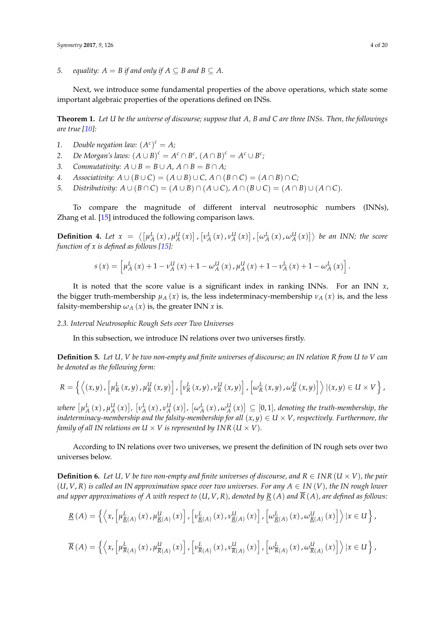*5. equality:*  $A = B$  *if and only if*  $A \subseteq B$  *and*  $B \subseteq A$ *.* 

Next, we introduce some fundamental properties of the above operations, which state some important algebraic properties of the operations defined on INSs.

**Theorem 1.** *Let U be the universe of discourse; suppose that A, B and C are three INSs. Then, the followings are true [\[10\]](#page-18-7):*

- *1. Double negation law:*  $(A^c)^c = A$ *;*
- 2. *De Morgan's laws:*  $(A \cup B)^c = A^c \cap B^c$ ,  $(A \cap B)^c = A^c \cup B^c$ ;
- *3. Commutativity:*  $A \cup B = B \cup A$ ,  $A \cap B = B \cap A$ ;
- *4. Associativity:*  $A \cup (B \cup C) = (A \cup B) \cup C$ ,  $A \cap (B \cap C) = (A \cap B) \cap C$ ;
- *5. Distributivity:*  $A \cup (B \cap C) = (A \cup B) \cap (A \cup C), A \cap (B \cup C) = (A \cap B) \cup (A \cap C).$

To compare the magnitude of different interval neutrosophic numbers (INNs), Zhang et al. [\[15\]](#page-18-9) introduced the following comparison laws.

**Definition 4.** Let  $x = \langle \left[ \mu_A^L(x), \mu_A^U(x) \right], \left[ \nu_A^L(x), \nu_A^U(x) \right], \left[ \omega_A^L(x), \omega_A^U(x) \right] \rangle$  be an INN; the score *function of x is defined as follows [\[15\]](#page-18-9):*

$$
s\left(x\right)=\left[\mu_{A}^{L}\left(x\right)+1-\nu_{A}^{U}\left(x\right)+1-\omega_{A}^{U}\left(x\right),\mu_{A}^{U}\left(x\right)+1-\nu_{A}^{L}\left(x\right)+1-\omega_{A}^{L}\left(x\right)\right].
$$

It is noted that the score value is a significant index in ranking INNs. For an INN *x*, the bigger truth-membership  $\mu_A(x)$  is, the less indeterminacy-membership  $\nu_A(x)$  is, and the less falsity-membership  $\omega_A(x)$  is, the greater INN *x* is.

#### *2.3. Interval Neutrosophic Rough Sets over Two Universes*

In this subsection, we introduce IN relations over two universes firstly.

**Definition 5.** *Let U, V be two non-empty and finite universes of discourse; an IN relation R from U to V can be denoted as the following form:*

$$
R = \left\{ \left\langle \left(x,y\right), \left[\mu_R^L\left(x,y\right),\mu_R^U\left(x,y\right)\right], \left[\nu_R^L\left(x,y\right),\nu_R^U\left(x,y\right)\right], \left[\omega_R^L\left(x,y\right),\omega_R^U\left(x,y\right)\right] \right\rangle | (x,y) \in U \times V \right\},\right\}
$$

where  $[\mu_A^L(x)$  ,  $\mu_A^U(x)]$ ,  $[\nu_A^L(x)$  ,  $\nu_A^U(x)]$ ,  $[\omega_A^L(x)$  ,  $\omega_A^U(x)] \subseteq [0,1]$ , denoting the truth-membership, the *indeterminacy-membership and the falsity-membership for all*  $(x, y) \in U \times V$ , respectively. Furthermore, the *family of all IN relations on U*  $\times$  *V is represented by INR (U*  $\times$  *V).* 

According to IN relations over two universes, we present the definition of IN rough sets over two universes below.

<span id="page-3-0"></span>**Definition 6.** Let U, V be two non-empty and finite universes of discourse, and  $R \in INR$  ( $U \times V$ ), the pair (*U*, *V*, *R*) *is called an IN approximation space over two universes. For any A* ∈ *IN* (*V*)*, the IN rough lower* and upper approximations of A with respect to  $(U, V, R)$ , denoted by  $R(A)$  and  $\overline{R}(A)$ , are defined as follows:

$$
\underline{R}(A) = \left\{ \left\langle x, \left[ \mu_{\underline{R}(A)}^{L}(x), \mu_{\underline{R}(A)}^{U}(x) \right], \left[ \nu_{\underline{R}(A)}^{L}(x), \nu_{\underline{R}(A)}^{U}(x) \right], \left[ \omega_{\underline{R}(A)}^{L}(x), \omega_{\underline{R}(A)}^{U}(x) \right] \right\rangle | x \in U \right\},
$$

$$
\overline{R}(A) = \left\{ \left\langle x, \left[ \mu_{\overline{R}(A)}^L(x), \mu_{\overline{R}(A)}^U(x) \right], \left[ \nu_{\overline{R}(A)}^L(x), \nu_{\overline{R}(A)}^U(x) \right], \left[ \omega_{\overline{R}(A)}^L(x), \omega_{\overline{R}(A)}^U(x) \right] \right\rangle | x \in U \right\},
$$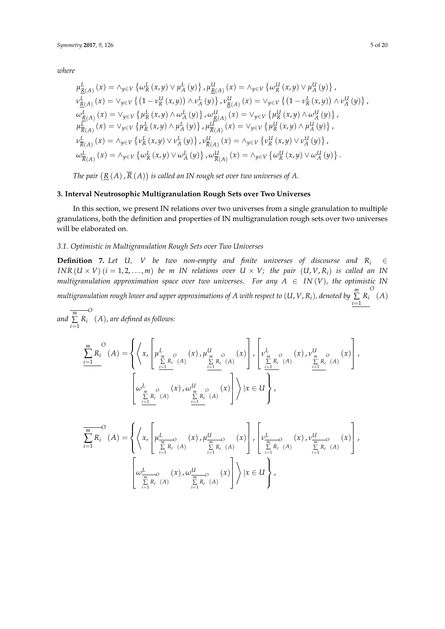*where*

$$
\mu_{\underline{R}}^{L}(A) (x) = \wedge_{y \in V} \{ \omega_{R}^{L}(x, y) \vee \mu_{A}^{L}(y) \}, \mu_{\underline{R}(A)}^{U}(x) = \wedge_{y \in V} \{ \omega_{R}^{U}(x, y) \vee \mu_{A}^{U}(y) \},
$$
  
\n
$$
\nu_{\underline{R}(A)}^{L}(x) = \vee_{y \in V} \{ (1 - \nu_{R}^{U}(x, y)) \wedge \nu_{A}^{L}(y) \}, \nu_{\underline{R}(A)}^{U}(x) = \vee_{y \in V} \{ (1 - \nu_{R}^{L}(x, y)) \wedge \nu_{A}^{U}(y) \},
$$
  
\n
$$
\omega_{\underline{R}(A)}^{L}(x) = \vee_{y \in V} \{ \mu_{R}^{L}(x, y) \wedge \omega_{A}^{L}(y) \}, \omega_{\underline{R}(A)}^{U}(x) = \vee_{y \in V} \{ \mu_{R}^{U}(x, y) \wedge \omega_{A}^{U}(y) \},
$$
  
\n
$$
\mu_{\overline{R}(A)}^{L}(x) = \vee_{y \in V} \{ \mu_{R}^{L}(x, y) \wedge \mu_{A}^{L}(y) \}, \mu_{\overline{R}(A)}^{U}(x) = \vee_{y \in V} \{ \mu_{R}^{U}(x, y) \wedge \mu_{A}^{U}(y) \},
$$
  
\n
$$
\nu_{\overline{R}(A)}^{L}(x) = \wedge_{y \in V} \{ \nu_{R}^{L}(x, y) \vee \nu_{A}^{L}(y) \}, \nu_{\overline{R}(A)}^{U}(x) = \wedge_{y \in V} \{ \nu_{R}^{U}(x, y) \vee \nu_{A}^{U}(y) \},
$$
  
\n
$$
\omega_{\overline{R}(A)}^{L}(x) = \wedge_{y \in V} \{ \omega_{R}^{L}(x, y) \vee \omega_{A}^{L}(y) \}, \omega_{\overline{R}(A)}^{U}(x) = \wedge_{y \in V} \{ \omega_{R}^{U}(x, y) \vee \omega_{A}^{U}(y) \}.
$$

The pair  $\left( \underline{R}\left( A\right) ,\overline{R}\left( A\right) \right)$  is called an IN rough set over two universes of  $A.$ 

### <span id="page-4-0"></span>**3. Interval Neutrosophic Multigranulation Rough Sets over Two Universes**

In this section, we present IN relations over two universes from a single granulation to multiple granulations, both the definition and properties of IN multigranulation rough sets over two universes will be elaborated on.

## *3.1. Optimistic in Multigranulation Rough Sets over Two Universes*

<span id="page-4-1"></span>**Definition 7.** Let U, V be two non-empty and finite universes of discourse and  $R_i \in$ *INR*  $(U \times V)$   $(i = 1, 2, ..., m)$  *be m IN relations over*  $U \times V$ *; the pair*  $(U, V, R_i)$  *is called an IN multigranulation approximation space over two universes. For any*  $A \in IN(V)$ , the optimistic IN multigranulation rough lower and upper approximations of  $A$  with respect to  $(U,V,R_i)$ , denoted by  $\sum\limits_{}^{m}$  $\sum_{i=1}$   $R_i$ *O* (*A*)

*and m* ∑  $\sum_{i=1}$   $R_i$ *O* (*A*)*, are defined as follows:*

$$
\frac{\sum_{i=1}^{m} R_{i}^{O}(A) = \left\{ \left\langle x, \left[ \mu_{\frac{m}{2}R_{i}^{O}}^{L}(A) \left(x\right), \mu_{\frac{m}{2}R_{i}^{O}}^{U}(A) \left(x\right) \right], \left[ \nu_{\frac{m}{2}R_{i}^{O}}^{L}(A) \left(x\right), \nu_{\frac{m}{2}R_{i}^{O}}^{U}(A) \left(\sum_{i=1}^{m} \mu_{i}^{O}(A) \left(x\right) \right) \right\} \right\} \\ \left[ \omega_{\frac{m}{2}R_{i}^{O}(A)}^{L}(A) \left( \sum_{i=1}^{m} \mu_{i}^{O}(A) \left(x\right) \right] \right\} \left| x \in U \right\},
$$

$$
\frac{\sum_{i=1}^{m} R_i (A) = \left\{ \left\langle x, \left[ \mu_{\frac{m}{\sum_{i=1}^{m} R_i} (A)}(x), \mu_{\frac{m}{\sum_{i=1}^{m} R_i} (A)}(x) \right], \left[ \nu_{\frac{m}{\sum_{i=1}^{m} R_i} (A)}(x), \nu_{\frac{m}{\sum_{i=1}^{m} R_i} (A)}(x) \right], \left[ \nu_{\frac{m}{\sum_{i=1}^{m} R_i} (A)}(x), \nu_{\frac{m}{\sum_{i=1}^{m} R_i} (A)}(x) \right] \right\}
$$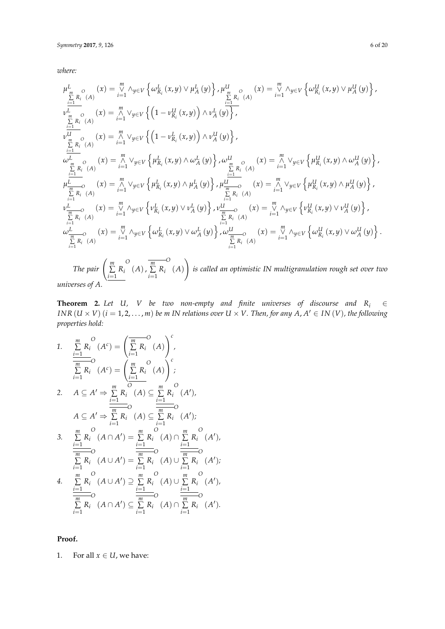*where:*

$$
\mu_{\frac{m}{2},R_{i}}^{L}(\Lambda)(x) = \sum_{i=1}^{m} \Lambda_{y \in V} \left\{ \omega_{R_{i}}^{L}(x,y) \vee \mu_{A}^{L}(y) \right\}, \mu_{\frac{m}{2},R_{i}}^{U}(\Lambda)(x) = \sum_{i=1}^{m} \Lambda_{y \in V} \left\{ \omega_{R_{i}}^{U}(x,y) \vee \mu_{A}^{U}(y) \right\},
$$
\n
$$
\nu_{\frac{m}{2},R_{i}}^{U}(\Lambda)(x) = \sum_{i=1}^{m} \vee_{y \in V} \left\{ \left( 1 - \nu_{R_{i}}^{U}(x,y) \right) \wedge \nu_{A}^{L}(y) \right\},
$$
\n
$$
\nu_{\frac{m}{2},R_{i}}^{U}(\Lambda)(x) = \sum_{i=1}^{m} \vee_{y \in V} \left\{ \left( 1 - \nu_{R_{i}}^{U}(x,y) \right) \wedge \nu_{A}^{U}(y) \right\},
$$
\n
$$
\omega_{\frac{m}{2},R_{i}}^{L}(\Lambda)(x) = \sum_{i=1}^{m} \vee_{y \in V} \left\{ \mu_{R_{i}}^{L}(x,y) \wedge \omega_{A}^{L}(y) \right\}, \omega_{\frac{m}{2},R_{i}}^{U}(\Lambda)(x) = \sum_{i=1}^{m} \vee_{y \in V} \left\{ \mu_{R_{i}}^{U}(x,y) \wedge \omega_{A}^{U}(y) \right\},
$$
\n
$$
\mu_{\frac{m}{2},R_{i}}^{L}(\Lambda)(x) = \sum_{i=1}^{m} \vee_{y \in V} \left\{ \mu_{R_{i}}^{L}(x,y) \wedge \mu_{A}^{L}(y) \right\}, \mu_{\frac{m}{2},R_{i}}^{U}(\Lambda)(x) = \sum_{i=1}^{m} \vee_{y \in V} \left\{ \mu_{R_{i}}^{U}(x,y) \wedge \mu_{A}^{U}(y) \right\},
$$
\n
$$
\mu_{\frac{m}{2},R_{i}}^{L}(\Lambda)(x) = \sum_{i=1}^{m} \wedge_{y \in V} \left\{ \nu_{R_{i}}^{L}(x,y) \vee \nu_{A}^{L}(y) \right\}, \nu_{\frac{m}{2},R_{i}}^{
$$

*universes of A.*

**Theorem 2.** Let U, V be two non-empty and finite universes of discourse and  $R_i \in \mathbb{R}$ *INR*  $(U \times V)$   $(i = 1, 2, ..., m)$  *be m IN relations over*  $U \times V$ . *Then, for any*  $A, A' \in IN(V)$ *, the following properties hold:*

*1. m* ∑  $\sum_{i=1}$   $R_i$ *O*  $(A^c) =$  *m* ∑  $\sum_{i=1}$   $R_i$ *O* (*A*)  $\bigwedge$ <sup>c</sup> *, m* ∑  $\sum_{i=1}$   $R_i$ *O*  $(A^c) =$  *m* ∑  $\sum_{i=1}$   $R_i$ *O* (*A*) !*c ;* 2.  $A \subseteq A' \Rightarrow \sum^{m}$  $\sum_{i=1}$   $R_i$ *O*  $(A) ⊆ \sum^m$  $\sum_{i=1}$   $R_i$ *O*  $(A')$  $A \subseteq A' \Rightarrow \sum^{m} R_i$ *i*=1 *i*=1 *O*  $(A) \subseteq \sum_{i=1}^{m} R_i$ *O*  $(A')$ ; *3. m* ∑  $\sum_{i=1}$   $R_i$ *O*  $(A \cap A') = \sum^{m}$  $\sum_{i=1}$   $R_i$ *O*  $(A) ∩ \sum^m$  $\sum_{i=1}$   $R_i$ *O*  $(A')$ *m* ∑  $\sum_{i=1}$   $R_i$ *O*  $(A \cup A') = \sum^{m}$  $\sum_{i=1}$   $R_i$ *O*  $(A)$  ∪  $\sum$ <sup>*m*</sup>  $\sum_{i=1}$   $R_i$ *O*  $(A')$ ; *4. m* ∑  $\sum_{i=1}$   $R_i$ *O*  $(A \cup A') \supseteq \sum^{m}$  $\sum_{i=1}$   $R_i$ *O*  $(A)$  ∪  $\sum$ <sup>*m*</sup>  $\sum_{i=1}$   $R_i$ *O*  $(A')$ *m* ∑  $\sum_{i=1}$   $R_i$ *O*  $(A \cap A') \subseteq \sum^{m}$  $\sum_{i=1}$   $R_i$ *O*  $(A) ∩ \sum^m$  $\sum_{i=1}$   $R_i$ *O*  $(A')$ .

**Proof.**

1. For all  $x \in U$ , we have: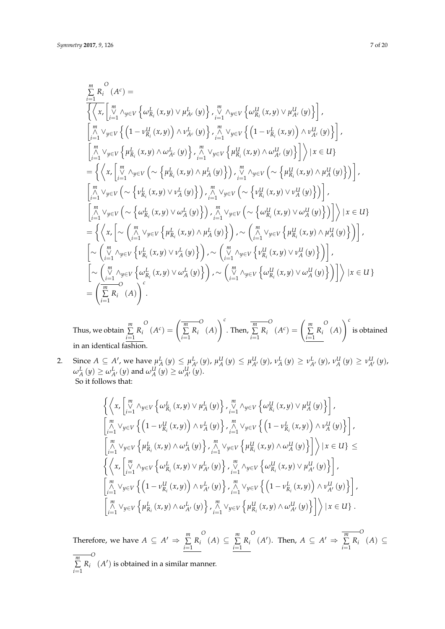$$
\sum_{i=1}^{m} R_{i}^{O}(A^{c}) = \left\{ \left\langle x, \begin{bmatrix} \frac{m}{2} \\ \frac{m}{2} \end{bmatrix} \left\langle x, y \right\rangle \vee \mu_{A^{c}}^{L}(y) \right\} \right\} \right\} \left\langle \frac{m}{2} \sqrt{y} \left\langle x, y \right\rangle \vee \mu_{A^{c}}^{U}(y) \right\} \right\} \left\langle \frac{m}{2} \sqrt{y} \left\langle x, y \right\rangle \vee \mu_{A^{c}}^{U}(y) \right\} \right\rangle
$$
\n
$$
\left\{ \left\langle x, \begin{bmatrix} \frac{m}{2} \\ \frac{m}{2} \end{bmatrix} \vee y \in V \left\{ \left( 1 - \nu_{R_{i}}^{U}(x, y) \right) \wedge \nu_{A^{c}}^{L}(y) \right\} \right\} \right\} \left\langle \frac{m}{2} \sqrt{y} \in V \left\{ \left( 1 - \nu_{R_{i}}^{L}(x, y) \right) \wedge \nu_{A^{c}}^{U}(y) \right\} \right\rangle
$$
\n
$$
\left\{ \left\langle \frac{n}{2} \right\rangle \left\langle y \in V \left\langle \mu_{R_{i}}^{L}(x, y) \wedge \omega_{A^{c}}^{L}(y) \right\rangle \right\} \right\} \left\langle \frac{n}{2} \left\langle x, y \right\rangle \wedge \omega_{A^{c}}^{U}(y) \right\rangle \right\} \right\} \left\langle x \in U \right\}
$$
\n
$$
= \left\{ \left\langle x, \begin{bmatrix} \frac{m}{2} \\ \frac{m}{2} \end{bmatrix} \wedge y \in V \left( \sim \left\{ \mu_{R_{i}}^{L}(x, y) \wedge \mu_{A}^{L}(y) \right\} \right) \right\rangle \right\} \left\langle \frac{m}{2} \left\langle x, y \right\rangle \vee \nu_{A}^{L}(y) \right\rangle \right\} \right\} \left\langle \frac{n}{2} \left\langle x, y \right\rangle \vee \nu_{A}^{L}(y) \right\rangle \right\} \right\}
$$
\n
$$
\left\{ \left\langle x, \begin{bmatrix} \frac{m}{2} \\ \frac{m}{2} \end{bmatrix} \vee y
$$

Thus, we obtain *m* ∑  $\sum_{i=1}$   $R_i$ *O*  $(A^c)$  = *m* ∑  $\sum_{i=1}$   $R_i$ *O* (*A*)  $\bigwedge^c$ . Then,  $\sum^m$  $\sum_{i=1}$   $R_i$ *O*  $(A^c)$  = *m* ∑  $\sum_{i=1}$   $R_i$ *O* (*A*)  $\bigwedge$ <sup>c</sup> is obtained in an identical fashion.

2. Since  $A \subseteq A'$ , we have  $\mu_A^L(y) \leq \mu_{A'}^L(y)$ ,  $\mu_A^U(y) \leq \mu_{A'}^U(y)$ ,  $\nu_A^L(y) \geq \nu_{A'}^L(y)$ ,  $\nu_A^U(y) \geq \nu_{A'}^U(y)$ ,  $\omega_A^L(y) \geq \omega_{A'}^L(y)$  and  $\omega_A^U(y) \geq \omega_{A'}^U(y)$ . So it follows that:

$$
\left\{ \left\langle x, \begin{bmatrix} m \\ y \\ i=1 \end{bmatrix} \wedge_{y \in V} \left\{ \omega_{R_i}^L(x, y) \vee \mu_A^L(y) \right\}, \begin{bmatrix} m \\ y \\ i=1 \end{bmatrix} \wedge_{y \in V} \left\{ \omega_{R_i}^U(x, y) \vee \mu_A^U(y) \right\}, \\ \begin{bmatrix} m \\ \wedge \\ i=1 \end{bmatrix} \vee_{y \in V} \left\{ \left( 1 - \nu_{R_i}^U(x, y) \right) \wedge \nu_A^L(y) \right\}, \begin{bmatrix} m \\ y \\ i=1 \end{bmatrix} \vee_{y \in V} \left\{ \mu_{R_i}^L(x, y) \wedge \omega_A^L(y) \right\}, \\ \begin{bmatrix} m \\ \wedge \\ i=1 \end{bmatrix} \vee_{y \in V} \left\{ \mu_{R_i}^L(x, y) \wedge \omega_A^L(y) \right\}, \begin{bmatrix} m \\ y \\ i=1 \end{bmatrix} \vee_{y \in V} \left\{ \mu_{R_i}^U(x, y) \wedge \omega_A^U(y) \right\} \right\} \vee \left\{ x \in U \right\} \le \left\{ \left\langle x, \begin{bmatrix} m \\ y \\ i=1 \end{bmatrix} \wedge_{y \in V} \left\{ \omega_{R_i}^L(x, y) \vee \mu_{A'}^L(y) \right\}, \begin{bmatrix} m \\ y \\ i=1 \end{bmatrix} \wedge_{y \in V} \left\{ \omega_{R_i}^U(x, y) \vee \mu_{A'}^L(y) \right\}, \\ \begin{bmatrix} m \\ y \\ i=1 \end{bmatrix} \vee_{y \in V} \left\{ \left( 1 - \nu_{R_i}^U(x, y) \right) \wedge \nu_{A'}^L(y) \right\}, \begin{bmatrix} m \\ y \\ i=1 \end{bmatrix} \vee_{y \in V} \left\{ \mu_{R_i}^L(x, y) \wedge \omega_{A'}^L(y) \right\}, \begin{bmatrix} m \\ y \\ i=1 \end{bmatrix} \vee_{y \in V} \left\{ \mu_{R_i}^L(x, y) \wedge \omega_{A'}^L(y) \right\}, \begin{bmatrix} m \\ y \\ i=1 \end{bmatrix} \vee_{y \in V} \left\{ \mu_{R_i}^L(x, y) \w
$$

Therefore, we have  $A \subseteq A' \Rightarrow \sum_{n=1}^{\infty} A^n$  $\sum_{i=1}$   $R_i$ *O*  $(A)$  ⊆  $\sum$ <sup>*m*</sup>  $\sum_{i=1}$   $R_i$ *O*  $(A')$ . Then,  $A \subseteq A' \Rightarrow \sum^{m}$  $\sum_{i=1}$   $R_i$ *O*  $(A)$  ⊆ *m* ∑  $\sum_{i=1}$   $R_i$ *O*  $(A')$  is obtained in a similar manner.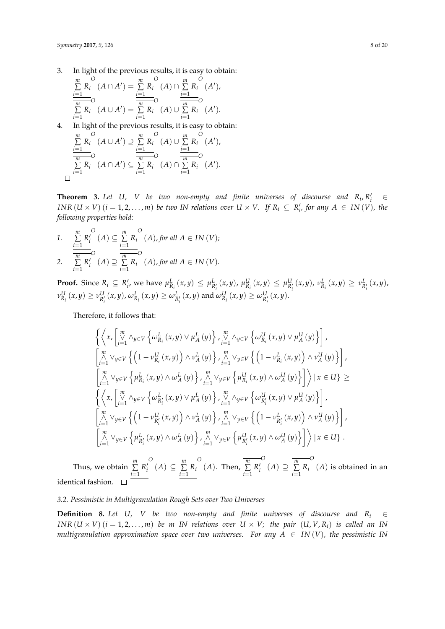3. In light of the previous results, it is easy to obtain:

$$
\frac{\sum\limits_{i=1}^{m} R_i^O (A \cap A') = \sum\limits_{i=1}^{m} R_i^O (A) \cap \sum\limits_{i=1}^{m} R_i^O (A'),}{\sum\limits_{i=1}^{m} R_i^O (A \cup A') = \sum\limits_{i=1}^{m} R_i^O (A) \cup \sum\limits_{i=1}^{m} R_i^O (A').}
$$

4. In light of the previous results, it is easy to obtain:

$$
\frac{\sum\limits_{i=1}^{m} R_i^O(A \cup A') \supseteq \sum\limits_{i=1}^{m} R_i^O(A) \cup \sum\limits_{i=1}^{m} R_i^O(A'),}{\sum\limits_{i=1}^{m} R_i^O(A \cap A') \subseteq \sum\limits_{i=1}^{m} R_i^O(A) \cap \sum\limits_{i=1}^{m} R_i^O(A').}
$$

**Theorem 3.** Let U, V be two non-empty and finite universes of discourse and  $R_i, R'_i$   $\in$ *INR*  $(U \times V)$   $(i = 1, 2, ..., m)$  *be two IN relations over*  $U \times V$ . If  $R_i \subseteq R'_{i'}$  for any  $A \in IN(V)$ , the *following properties hold:*

1. 
$$
\sum_{i=1}^{m} R_i^O(A) \subseteq \sum_{i=1}^{m} R_i^O(A), \text{ for all } A \in IN(V);
$$
  
2. 
$$
\sum_{i=1}^{m} R_i^O(A) \supseteq \sum_{i=1}^{m} R_i^O(A), \text{ for all } A \in IN(V).
$$

**Proof.** Since  $R_i \subseteq R'_i$ , we have  $\mu_{R_i}^L(x, y) \leq \mu_{R'_i}^L(x, y)$ ,  $\mu_{R_i}^U(x, y) \leq \mu_{R'_i}^U(x, y)$ ,  $\nu_{R_i}^L(x, y) \geq \nu_{R'_i}^L(x, y)$ , *i*  $\nu^U_{R_i}(x,y) \geq \nu^U_{R'_i}(x,y)$ ,  $\omega^L_{R_i}(x,y) \geq \omega^L_{R'_i}(x,y)$  and  $\omega^U_{R_i}(x,y) \geq \omega^U_{R'_i}(x,y)$ .

Therefore, it follows that:

$$
\left\{ \left\langle x, \begin{bmatrix} m \\ y \\ z \end{bmatrix} \wedge_{y \in V} \left\{ \omega_{R_i}^L(x, y) \vee \mu_A^L(y) \right\}, \begin{bmatrix} m \\ y \\ z \end{bmatrix} \wedge_{y \in V} \left\{ \omega_{R_i}^U(x, y) \vee \mu_A^U(y) \right\} \right\},
$$
\n
$$
\begin{bmatrix} m \\ m \\ i=1 \end{bmatrix} \vee_{y \in V} \left\{ \left( 1 - \nu_{R_i}^U(x, y) \right) \wedge \nu_A^L(y) \right\}, \begin{bmatrix} m \\ j=1 \end{bmatrix} \vee_{y \in V} \left\{ \left( 1 - \nu_{R_i}^L(x, y) \right) \wedge \nu_A^U(y) \right\},
$$
\n
$$
\begin{bmatrix} m \\ m \\ i=1 \end{bmatrix} \vee_{y \in V} \left\{ \mu_{R_i}^L(x, y) \wedge \omega_A^L(y) \right\}, \begin{bmatrix} m \\ n \\ i=1 \end{bmatrix} \vee_{y \in V} \left\{ \mu_{R_i}^U(x, y) \wedge \omega_A^U(y) \right\} \right\} \times \left\{ x, \begin{bmatrix} m \\ x \\ i=1 \end{bmatrix} \vee_{y \in V} \left\{ \omega_{R_i'}^L(x, y) \vee \mu_A^L(y) \right\}, \begin{bmatrix} m \\ j=1 \end{bmatrix} \vee_{y \in V} \left\{ \omega_{R_i'}^U(x, y) \vee \mu_A^U(y) \right\} \right\},
$$
\n
$$
\begin{bmatrix} m \\ j=1 \end{bmatrix} \vee_{y \in V} \left\{ \left( 1 - \nu_{R_i'}^U(x, y) \right) \wedge \nu_A^L(y) \right\}, \begin{bmatrix} m \\ j=1 \end{bmatrix} \vee_{y \in V} \left\{ \mu_{R_i'}^U(x, y) \wedge \omega_A^U(y) \right\} \right\},
$$
\n
$$
\begin{bmatrix} m \\ j=1 \end{bmatrix} \vee_{y \in V} \left\{ \mu_{R_i'}^L(x, y) \wedge \omega_A^L(y) \right\}, \begin{bmatrix} m \\ j=1 \end{bmatrix} \vee_{y \in V} \left\{ \mu_{R_i'}^U(x
$$

Thus, we obtain *m* ∑ *i*=1  $R_i'$ *O*  $(A)$  ⊆  $\sum$ <sup>*m*</sup>  $\sum_{i=1}$   $R_i$ *O* (*A*). Then,  $\sum_{m=1}^{m}$ *i*=1  $R_i'$ *O*  $(A) \supseteq \sum^m$  $\sum_{i=1}$   $R_i$ *O* (*A*) is obtained in an identical fashion.

# *3.2. Pessimistic in Multigranulation Rough Sets over Two Universes*

<span id="page-7-0"></span>**Definition 8.** Let *U*, *V be two non-empty and finite universes of discourse and*  $R_i \in$ *INR*  $(U \times V)$   $(i = 1, 2, ..., m)$  *be m IN relations over*  $U \times V$ *; the pair*  $(U, V, R_i)$  *is called an IN multigranulation approximation space over two universes. For any*  $A \in IN(V)$ , the pessimistic IN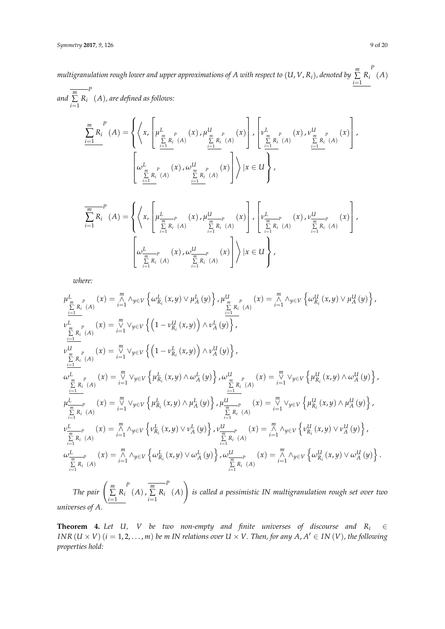*multigranulation rough lower and upper approximations of A with respect to* (*U*, *V*, *Ri*)*, denoted by m* ∑  $\sum_{i=1}^{\infty} R_i$ *P* (*A*) *P*

*and m* ∑  $\sum_{i=1}$   $R_i$   $(A)$ *, are defined as follows:* 

$$
\frac{\sum_{i=1}^{m} R_{i}^{P}(A) = \left\{ \left\langle x, \left[ \mu_{\frac{P}{m} P_{i} (A)}^{L}(x), \mu_{\frac{P}{m} P_{i} (A)}^{U}(x) \right], \left[ \nu_{\frac{P}{m} P_{i} (A)}^{L}(x), \nu_{\frac{P}{m} P_{i} (A)}^{U}(x) \right], \left[ \nu_{\frac{P}{m} P_{i} (A)}^{L}(x), \nu_{\frac{P}{m} P_{i} (A)}^{U}(x) \right] \right\}
$$
\n
$$
\left[ \omega_{\frac{P}{\sum_{i=1}^{m} R_{i} (A)}^{L}(x), \omega_{\frac{P}{\sum_{i=1}^{m} R_{i} (A)}^{U}(x) \right] \right\} | x \in U \right\},
$$

$$
\frac{\frac{m}{n} P}{\sum_{i=1}^{m} R_i} (A) = \left\{ \left\langle x, \left[ \mu_{\frac{m}{n} R_i}^{L} (A) \sum_{i=1}^{m} R_i (A) \sum_{i=1}^{m} R_i (A) \right] , \left[ \nu_{\frac{m}{n} P}^{L} (A) \sum_{i=1}^{m} R_i (A) \sum_{i=1}^{m} R_i (A) \right] \right\} , \left[ \nu_{\frac{m}{n} P}^{L} (A) \sum_{i=1}^{m} R_i (A) \sum_{i=1}^{m} R_i (A) \right] \right\}
$$

*where:*

$$
\mu_{\frac{m}{m}P}^{L}(\mathbf{x}) = \sum_{i=1}^{m} \wedge_{y \in V} \left\{ \omega_{R_{i}}^{L}(\mathbf{x}, y) \vee \mu_{A}^{L}(y) \right\}, \mu_{\frac{m}{m}P}^{U}(\mathbf{x}) = \sum_{i=1}^{m} \wedge_{y \in V} \left\{ \omega_{R_{i}}^{U}(\mathbf{x}, y) \vee \mu_{A}^{U}(y) \right\},
$$
\n
$$
\nu_{\frac{m}{m}P}^{U}(\mathbf{x}) = \sum_{i=1}^{m} \vee_{y \in V} \left\{ \left( 1 - \nu_{R_{i}}^{U}(\mathbf{x}, y) \right) \wedge \nu_{A}^{L}(y) \right\},
$$
\n
$$
\nu_{\frac{m}{m}P}^{U}(\mathbf{x}) = \sum_{i=1}^{m} \vee_{y \in V} \left\{ \left( 1 - \nu_{R_{i}}^{L}(\mathbf{x}, y) \right) \wedge \nu_{A}^{U}(y) \right\},
$$
\n
$$
\omega_{\frac{m}{m}P}^{L}(\mathbf{x}) = \sum_{i=1}^{m} \vee_{y \in V} \left\{ \mu_{R_{i}}^{L}(\mathbf{x}, y) \wedge \omega_{A}^{L}(y) \right\}, \omega_{\frac{m}{m}P}^{U}(\mathbf{x}) = \sum_{i=1}^{m} \vee_{y \in V} \left\{ \mu_{R_{i}}^{U}(\mathbf{x}, y) \wedge \omega_{A}^{U}(y) \right\},
$$
\n
$$
\frac{\sum_{i=1}^{m} R_{i}(\mathbf{A})}{\sum_{i=1}^{m} R_{i}(\mathbf{A})} (\mathbf{x}) = \sum_{i=1}^{m} \vee_{y \in V} \left\{ \mu_{R_{i}}^{L}(\mathbf{x}, y) \wedge \mu_{A}^{L}(y) \right\}, \mu_{\frac{m}{m}P}^{U}(\mathbf{x}) = \sum_{i=1}^{m} \vee_{y \in V} \left\{ \mu_{R_{i}}^{U}(\mathbf{x}, y) \wedge \mu_{A}^{U}(y) \right\},
$$
\n
$$
\nu_{\frac{m}{m}R_{i}(\mathbf{A})}^{L}(\mathbf{x}) = \sum_{i=1}^{m} \vee_{
$$

*universes of A.*

**Theorem 4.** Let U, V be two non-empty and finite universes of discourse and  $R_i \in$ *INR*  $(U \times V)$   $(i = 1, 2, ..., m)$  *be m IN relations over*  $U \times V$ . *Then, for any*  $A, A' \in IN(V)$ *, the following properties hold:*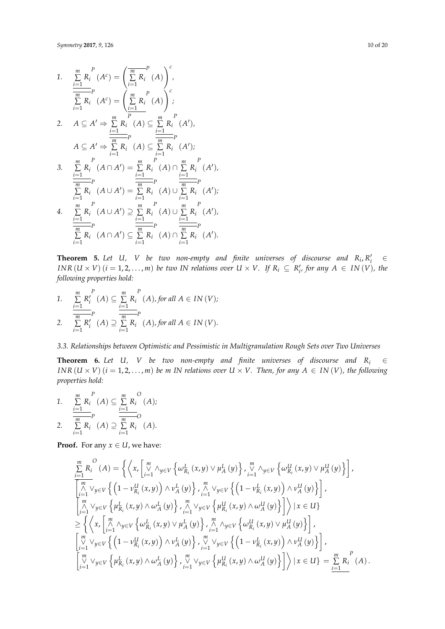1. 
$$
\sum_{i=1}^{m} R_i^P (A^c) = \left(\sum_{i=1}^{m} R_i (A)\right)^c,
$$
  
\n
$$
\frac{\sum_{i=1}^{m} R_i (A^c) = \left(\sum_{i=1}^{m} R_i (A)\right)^c;
$$
  
\n2. 
$$
A \subseteq A' \Rightarrow \sum_{i=1}^{m} R_i (A) \subseteq \sum_{i=1}^{m} R_i (A'),
$$
  
\n
$$
A \subseteq A' \Rightarrow \sum_{i=1}^{m} R_i (A) \subseteq \sum_{i=1}^{m} R_i (A'),
$$
  
\n3. 
$$
\sum_{i=1}^{m} R_i (A \cap A') = \sum_{i=1}^{m} R_i (A) \cap \sum_{i=1}^{m} R_i (A'),
$$
  
\n
$$
\frac{\sum_{i=1}^{m} R_i (A \cup A') = \sum_{i=1}^{m} R_i (A) \cap \sum_{i=1}^{m} R_i (A'),
$$
  
\n4. 
$$
\sum_{i=1}^{m} R_i (A \cup A') \supseteq \sum_{i=1}^{m} R_i (A) \cup \sum_{i=1}^{m} R_i (A'),
$$
  
\n
$$
\frac{\sum_{i=1}^{m} R_i (A \cup A') \supseteq \sum_{i=1}^{m} R_i (A) \cup \sum_{i=1}^{m} R_i (A'),
$$
  
\n
$$
\frac{\sum_{i=1}^{m} R_i (A \cap A') \subseteq \sum_{i=1}^{m} R_i (A) \cap \sum_{i=1}^{m} R_i (A').
$$

**Theorem 5.** Let U, V be two non-empty and finite universes of discourse and  $R_i, R'_i \in$ *INR*  $(U \times V)$   $(i = 1, 2, ..., m)$  *be two IN relations over*  $U \times V$ . If  $R_i \subseteq R'_{i'}$  for any  $A \in IN(V)$ , the *following properties hold:*

1. 
$$
\frac{\sum\limits_{i=1}^{m} R_i^P(A) \subseteq \sum\limits_{i=1}^{m} R_i^P(A), \text{ for all } A \in IN(V);
$$
  
2. 
$$
\frac{\sum\limits_{i=1}^{m} R_i^V(A) \supseteq \sum\limits_{i=1}^{m} R_i^P(A), \text{ for all } A \in IN(V).
$$

*3.3. Relationships between Optimistic and Pessimistic in Multigranulation Rough Sets over Two Universes*

**Theorem 6.** *Let U*, *V be two non-empty and finite universes of discourse and*  $R_i \in$ *INR*  $(U \times V)$   $(i = 1, 2, ..., m)$  *be m IN relations over*  $U \times V$ . *Then, for any*  $A \in IN(V)$ *, the following properties hold:*

1. 
$$
\frac{\sum_{i=1}^{m} R_i^P(A) \subseteq \sum_{i=1}^{m} R_i^O(A);}{\sum_{i=1}^{m} R_i^P(A) \supseteq \sum_{i=1}^{m} R_i^O(A)}.
$$

**Proof.** For any  $x \in U$ , we have:

$$
\sum_{i=1}^{m} R_i^O(A) = \left\{ \left\langle x, \begin{bmatrix} m \\ y \\ i=1 \end{bmatrix} \wedge_{y \in V} \left\{ \omega_{R_i}^L(x, y) \vee \mu_A^L(y) \right\}, \begin{bmatrix} m \\ y \\ i=1 \end{bmatrix} \wedge_{y \in V} \left\{ \omega_{R_i}^U(x, y) \vee \mu_A^U(y) \right\} \right\},
$$
\n
$$
\begin{bmatrix} m \\ \sum_{i=1}^{m} \vee_{y \in V} \left\{ \left( 1 - \nu_{R_i}^U(x, y) \right) \wedge \nu_A^L(y) \right\}, \begin{bmatrix} m \\ \sum_{i=1}^{m} \vee_{y \in V} \left\{ \mu_{R_i}^L(x, y) \wedge \omega_A^L(y) \right\}, \begin{bmatrix} m \\ \sum_{i=1}^{m} \vee_{y \in V} \left\{ \mu_{R_i}^L(x, y) \wedge \omega_A^L(y) \right\}, \begin{bmatrix} m \\ \sum_{i=1}^{m} \vee_{y \in V} \left\{ \mu_{R_i}^U(x, y) \wedge \omega_A^L(y) \right\}, \begin{bmatrix} m \\ \sum_{i=1}^{m} \vee_{y \in V} \left\{ \omega_{R_i}^L(x, y) \vee \mu_A^L(y) \right\}, \begin{bmatrix} m \\ \sum_{i=1}^{m} \vee_{y \in V} \left\{ \mu_{R_i}^U(x, y) \vee \mu_A^L(y) \right\}, \begin{bmatrix} m \\ \sum_{i=1}^{m} \vee_{y \in V} \left\{ \left( 1 - \nu_{R_i}^U(x, y) \right) \wedge \nu_A^L(y) \right\}, \begin{bmatrix} m \\ \sum_{i=1}^{m} \vee_{y \in V} \left\{ \mu_{R_i}^L(x, y) \wedge \omega_A^L(y) \right\}, \begin{bmatrix} m \\ \sum_{i=1}^{m} \vee_{y \in V} \left\{ \mu_{R_i}^L(x, y) \wedge \omega_A^L(y) \right\}, \begin{bmatrix} m \\ \sum_{i=1}^{m} \vee_{y \in V} \left\{ \mu_{R_i}^L(x, y) \wedge \omega_A^L(y) \right\}, \begin{bmatrix} m \\ \sum_{i=1}^{
$$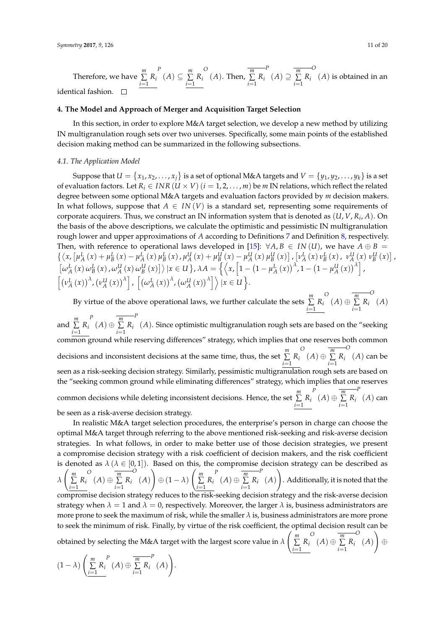Therefore, we have *m* ∑  $\sum_{i=1}$   $R_i$ *P*  $(A) ⊆ \frac{m}{\sum}$  $\sum_{i=1}$   $R_i$ *O*  $(A)$ . Then,  $\sum_{m=1}^{m}$  $\sum_{i=1}$   $R_i$ *P*  $(A) \supseteq \sum^m$  $\sum_{i=1}^{\infty} R_i$ *O* (*A*) is obtained in an identical fashion.

#### <span id="page-10-0"></span>**4. The Model and Approach of Merger and Acquisition Target Selection**

In this section, in order to explore M&A target selection, we develop a new method by utilizing IN multigranulation rough sets over two universes. Specifically, some main points of the established decision making method can be summarized in the following subsections.

#### *4.1. The Application Model*

Suppose that  $U = \{x_1, x_2, \ldots, x_j\}$  is a set of optional M&A targets and  $V = \{y_1, y_2, \ldots, y_k\}$  is a set of evaluation factors. Let  $R_i \in INR$  ( $U \times V$ ) ( $i = 1, 2, ..., m$ ) be  $m$  IN relations, which reflect the related degree between some optional M&A targets and evaluation factors provided by *m* decision makers. In what follows, suppose that  $A \in IN(V)$  is a standard set, representing some requirements of corporate acquirers. Thus, we construct an IN information system that is denoted as (*U*, *V*, *R<sup>i</sup>* , *A*). On the basis of the above descriptions, we calculate the optimistic and pessimistic IN multigranulation rough lower and upper approximations of *A* according to Definitions [7](#page-4-1) and Definition [8,](#page-7-0) respectively. Then, with reference to operational laws developed in [\[15\]](#page-18-9):  $\forall A, B \in IN(U)$ , we have  $A \oplus B =$  $\{\langle x, [\mu_A^L(x) + \mu_B^L(x) - \mu_A^L(x) \mu_B^L(x), \mu_A^U(x) + \mu_B^U(x) - \mu_A^U(x) \mu_B^U(x)]\}$ ,  $[\nu_A^L(x) \nu_B^L(x), \nu_A^U(x) \nu_B^U(x)]$  $\left[\omega_{A}^{L}(x) \omega_{B}^{L}(x), \omega_{A}^{U}(x) \omega_{B}^{U}(x)\right]$   $\rangle$   $\vert x \in U$  },  $\lambda A = \left\{ \left\langle x, \left[1 - \left(1 - \mu_{A}^{L}(x)\right)^{\lambda}, 1 - \left(1 - \mu_{A}^{U}(x)\right)^{\lambda}\right], \left(1 - \mu_{A}^{U}(x)\right)^{\lambda}\right\},$  $\left[\left(\nu_A^L\left(x\right)\right)^{\lambda},\left(\nu_A^U\left(x\right)\right)^{\lambda}\right], \left[\left(\omega_A^L\left(x\right)\right)^{\lambda},\left(\omega_A^U\left(x\right)\right)^{\lambda}\right]\right) \, | x \in U \right\}.$ 

By virtue of the above operational laws, we further calculate the sets *m* ∑  $\sum_{i=1}$   $R_i$ *O*  $(A) \oplus \sum^{m}$  $\sum_{i=1}$   $R_i$ *O* (*A*)

and *m* ∑  $\sum_{i=1}$   $R_i$ *P*  $(A) \oplus \sum^{m}$  $\sum_{i=1}$   $R_i$ *P* (*A*). Since optimistic multigranulation rough sets are based on the "seeking common ground while reserving differences" strategy, which implies that one reserves both common decisions and inconsistent decisions at the same time, thus, the set *m* ∑  $\sum_{i=1}$   $R_i$ *O*  $(A) \oplus \sum^{m}$  $\sum_{i=1}$   $R_i$ *O* (*A*) can be seen as a risk-seeking decision strategy. Similarly, pessimistic multigranulation rough sets are based on the "seeking common ground while eliminating differences" strategy, which implies that one reserves common decisions while deleting inconsistent decisions. Hence, the set *m* ∑  $\sum_{i=1}$   $R_i$ *P*  $(A) ⊕ \sum^m$  $\sum_{i=1}$   $R_i$ *P* (*A*) can be seen as a risk-averse decision strategy.

In realistic M&A target selection procedures, the enterprise's person in charge can choose the optimal M&A target through referring to the above mentioned risk-seeking and risk-averse decision strategies. In what follows, in order to make better use of those decision strategies, we present a compromise decision strategy with a risk coefficient of decision makers, and the risk coefficient is denoted as  $\lambda$  ( $\lambda \in [0,1]$ ). Based on this, the compromise decision strategy can be described as *λ m* ∑  $\sum_{i=1}$   $R_i$ *O*  $(A) \oplus \sum^m$  $\sum_{i=1}$   $R_i$ *O* (*A*)  $\setminus$  $\oplus (1 - \lambda)$  *m* ∑  $\sum_{i=1}$   $R_i$ *P*  $(A) \oplus \sum^m$  $\sum_{i=1}$   $R_i$ *P* (*A*)  $\setminus$ . Additionally, it is noted that the compromise decision strategy reduces to the risk-seeking decision strategy and the risk-averse decision strategy when  $\lambda = 1$  and  $\lambda = 0$ , respectively. Moreover, the larger  $\lambda$  is, business administrators are more prone to seek the maximum of risk, while the smaller *λ* is, business administrators are more prone to seek the minimum of risk. Finally, by virtue of the risk coefficient, the optimal decision result can be obtained by selecting the M&A target with the largest score value in *λ m* ∑  $\sum_{i=1}^{\infty} R_i$ *O*  $(A) ⊕ \sum^m$  $\sum_{i=1}$   $R_i$ *O* (*A*)  $\setminus$ ⊕

$$
(1 - \lambda) \left( \sum_{i=1}^{m} R_i^{P}(A) \oplus \overline{\sum_{i=1}^{m} R_i}^{P}(A) \right).
$$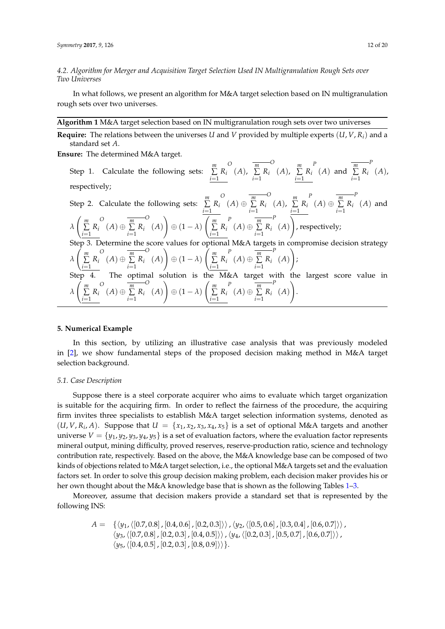*4.2. Algorithm for Merger and Acquisition Target Selection Used IN Multigranulation Rough Sets over Two Universes*

In what follows, we present an algorithm for M&A target selection based on IN multigranulation rough sets over two universes.

<span id="page-11-1"></span>**Algorithm 1** M&A target selection based on IN multigranulation rough sets over two universes

**Require:** The relations between the universes *U* and *V* provided by multiple experts  $(U, V, R_i)$  and a standard set *A*.

**Ensure:** The determined M&A target.

Step 1. Calculate the following sets: *m* ∑  $\sum_{i=1}$   $R_i$ *O* (*A*), *m* ∑  $\sum_{i=1}$   $R_i$ *O* (*A*), *m* ∑  $\sum_{i=1}^{\infty} R_i$ *P*  $(A)$  and  $\sum^m$  $\sum_{i=1}$   $R_i$ *P* (*A*), respectively; Step 2. Calculate the following sets: *m* ∑  $\sum_{i=1}$   $R_i$ *O*  $(A) ⊕ \sum^m$  $\sum_{i=1}$   $R_i$ *O*  $(A)$ ,  $\sum_{m=1}^{m}$  $\sum_{i=1}^{\infty} R_i$ *P*  $(A) ⊕ \sum^m$  $\sum_{i=1}^{\infty} R_i$ *P* (*A*) and *λ m* ∑  $\sum_{i=1}$   $R_i$ *O*  $(A) ⊕ \sum^m$  $\sum_{i=1}$   $R_i$ *O* (*A*)  $\setminus$  $oplus (1 - \lambda)$  *m* ∑  $\sum_{i=1}$   $R_i$ *P*  $(A) ⊕ \sum^m$  $\sum_{i=1}^{\infty} R_i$ *P* (*A*)  $\setminus$ , respectively; Step 3. Determine the score values for optional M&A targets in compromise decision strategy *λ m* ∑  $\sum_{i=1}$   $R_i$ *O*  $(A) ⊕ \sum^m$  $\sum_{i=1}$   $R_i$ *O* (*A*)  $\setminus$  $oplus (1 - \lambda)$  *m* ∑  $\sum_{i=1}$   $R_i$ *P*  $(A) ⊕ \sum^m$  $\sum_{i=1}^{\infty} R_i$ *P* (*A*)  $\setminus$ ; Step 4. The optimal solution is the M&A target with the largest score value in *λ m* ∑  $\sum_{i=1}$   $R_i$ *O*  $(A) ⊕ \sum^m$  $\sum_{i=1}$   $R_i$ *O* (*A*)  $\setminus$  $oplus (1 - \lambda)$  *m* ∑  $\sum_{i=1}$   $R_i$ *P*  $(A) ⊕ \sum^m$  $\sum_{i=1}^{\infty} R_i$ *P* (*A*)  $\setminus$ .

#### <span id="page-11-0"></span>**5. Numerical Example**

In this section, by utilizing an illustrative case analysis that was previously modeled in [\[2\]](#page-18-1), we show fundamental steps of the proposed decision making method in M&A target selection background.

#### *5.1. Case Description*

Suppose there is a steel corporate acquirer who aims to evaluate which target organization is suitable for the acquiring firm. In order to reflect the fairness of the procedure, the acquiring firm invites three specialists to establish M&A target selection information systems, denoted as  $(U, V, R_i, A)$ . Suppose that  $U = \{x_1, x_2, x_3, x_4, x_5\}$  is a set of optional M&A targets and another universe  $V = \{y_1, y_2, y_3, y_4, y_5\}$  is a set of evaluation factors, where the evaluation factor represents mineral output, mining difficulty, proved reserves, reserve-production ratio, science and technology contribution rate, respectively. Based on the above, the M&A knowledge base can be composed of two kinds of objections related to M&A target selection, i.e., the optional M&A targets set and the evaluation factors set. In order to solve this group decision making problem, each decision maker provides his or her own thought about the M&A knowledge base that is shown as the following Tables [1–](#page-13-0)[3.](#page-13-1)

Moreover, assume that decision makers provide a standard set that is represented by the following INS:

$$
A = \{ \langle y_1, \langle [0.7, 0.8], [0.4, 0.6], [0.2, 0.3] \rangle \rangle, \langle y_2, \langle [0.5, 0.6], [0.3, 0.4], [0.6, 0.7] \rangle \rangle, \\ \langle y_3, \langle [0.7, 0.8], [0.2, 0.3], [0.4, 0.5] \rangle \rangle, \langle y_4, \langle [0.2, 0.3], [0.5, 0.7], [0.6, 0.7] \rangle \rangle, \\ \langle y_5, \langle [0.4, 0.5], [0.2, 0.3], [0.8, 0.9] \rangle \rangle \}.
$$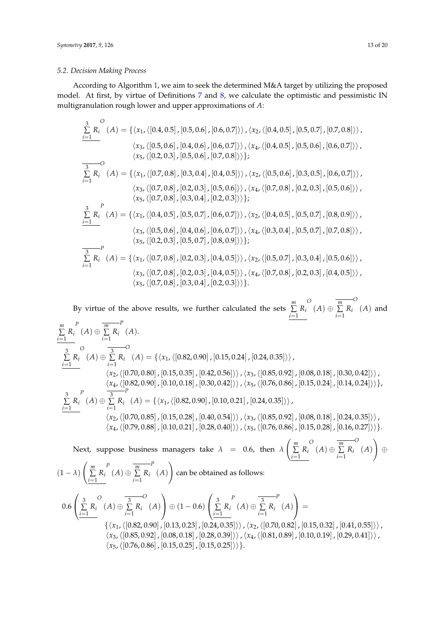#### *5.2. Decision Making Process*

According to Algorithm [1,](#page-11-1) we aim to seek the determined M&A target by utilizing the proposed model. At first, by virtue of Definitions [7](#page-4-1) and [8,](#page-7-0) we calculate the optimistic and pessimistic IN multigranulation rough lower and upper approximations of *A*:

$$
\sum_{i=1}^{3} R_{i}^{O}(A) = \{ \langle x_{1}, \langle [0.4, 0.5], [0.5, 0.6], [0.6, 0.7] \rangle \rangle, \langle x_{2}, \langle [0.4, 0.5], [0.5, 0.7], [0.7, 0.8] \rangle \rangle, \\ \langle x_{3}, \langle [0.5, 0.6], [0.4, 0.6], [0.6, 0.7] \rangle \rangle, \langle x_{4}, \langle [0.4, 0.5], [0.5, 0.6], [0.6, 0.7] \rangle \rangle, \\ \langle x_{5}, \langle [0.2, 0.3], [0.5, 0.6], [0.7, 0.8] \rangle \} \}
$$
\n
$$
\sum_{i=1}^{3} R_{i}^{O}(A) = \{ \langle x_{1}, \langle [0.7, 0.8], [0.3, 0.4], [0.4, 0.5] \rangle \rangle, \langle x_{2}, \langle [0.5, 0.6], [0.3, 0.5], [0.6, 0.7] \rangle \rangle, \\ \langle x_{3}, \langle [0.7, 0.8], [0.2, 0.3], [0.5, 0.6] \rangle \rangle, \langle x_{4}, \langle [0.7, 0.8], [0.2, 0.3], [0.5, 0.6] \rangle \rangle, \\ \langle x_{5}, \langle [0.7, 0.8], [0.3, 0.4], [0.2, 0.3] \rangle \} \}
$$
\n
$$
\sum_{i=1}^{3} R_{i}^{O}(A) = \{ \langle x_{1}, \langle [0.4, 0.5], [0.5, 0.7], [0.6, 0.7] \rangle \rangle, \langle x_{2}, \langle [0.4, 0.5], [0.5, 0.7], [0.8, 0.9] \rangle \rangle, \\ \langle x_{3}, \langle [0.5, 0.6], [0.4, 0.6], [0.6, 0.7] \rangle \rangle, \langle x_{4}, \langle [0.3, 0.4], [0.5, 0.7], [0.7, 0.8] \rangle \rangle, \\ \langle x_{5}, \langle [0.2, 0.3], [0.2, 0.3], [0.4, 0.5] \rangle \rangle, \langle x_{2}, \langle [0.5, 0.7], [0.3, 0
$$

By virtue of the above results, we further calculated the sets *m* ∑  $\sum_{i=1}^{\infty} R_i$ *O*  $(A) ⊕ \frac{m}{\sum}$  $\sum_{i=1}$   $R_i$ *O* (*A*) and *m* ∑  $\sum_{i=1}$   $R_i$ *P*  $(A) \oplus \sum^m$  $\sum_{i=1}$   $R_i$ *P* (*A*). 3 ∑ *Ri i*=1 *i*=1 *O*  $(A) \oplus \sum_{i=1}^{3} R_i$ *O*  $(A) = \{\langle x_1,\langle [0.82, 0.90], [0.15, 0.24], [0.24, 0.35]\rangle\}\$  $\langle x_2,\langle [0.70, 0.80]$  ,  $[0.15, 0.35]$  ,  $[0.42, 0.56]\rangle$  ,  $\langle x_3,\langle [0.85, 0.92]$  ,  $[0.08, 0.18]$  ,  $[0.30, 0.42]\rangle$  ,  $\langle x_4, \langle [0.82, 0.90]$  ,  $[0.10, 0.18]$  ,  $[0.30, 0.42]\rangle$  ,  $\langle x_5, \langle [0.76, 0.86]$  ,  $[0.15, 0.24]$  ,  $[0.14, 0.24]\rangle$  }, 3 ∑  $\sum_{i=1}$   $R_i$ *P*  $(A) \oplus \sum_{i=1}^{3}$  $\sum_{i=1}$   $R_i$ *P*  $(A) = \{\langle x_1,\langle [0.82, 0.90]$  ,  $[0.10, 0.21]$  ,  $[0.24, 0.35]\rangle\rangle$  ,  $\langle x_2,\langle [0.70, 0.85]$  ,  $[0.15, 0.28]$  ,  $[0.40, 0.54]\rangle$ ,  $\langle x_3,\langle [0.85, 0.92]$  ,  $[0.08, 0.18]$  ,  $[0.24, 0.35]\rangle$ ,  $\langle x_4, \langle [0.79, 0.88]$  ,  $[0.10, 0.21]$  ,  $[0.28, 0.40]$ ),  $\langle x_5, \langle [0.76, 0.86]$  ,  $[0.15, 0.28]$  ,  $[0.16, 0.27]$ )).

Next, suppose business managers take  $\lambda = 0.6$ , then  $\lambda$  *m* ∑  $\sum_{i=1}^{\infty} R_i$ *O*  $(A) ⊕ \sum^m$  $\sum_{i=1}^{\infty} R_i$ *O* (*A*)  $\setminus$ ⊕  $(1 - \lambda)$  *m* ∑  $\sum_{i=1}$   $R_i$ *P*  $(A) \oplus \sum^m$  $\sum_{i=1}$   $R_i$ *P* (*A*)  $\setminus$ can be obtained as follows: 0.6  $\sqrt{ }$  $\mathcal{L}$ 3 ∑  $\sum_{i=1}$   $R_i$ *O*  $(A) \oplus \sum_{i=1}^{3}$  $\sum_{i=1}$   $R_i$ *O* (*A*)  $\setminus$  $\big| \oplus (1 - 0.6)$  $\sqrt{ }$  $\overline{1}$ 3 ∑  $\sum_{i=1}$   $R_i$ *P*  $(A) \oplus \sum_{i=1}^{3}$  $\sum_{i=1}^{\infty} R_i$ *P* (*A*)  $\setminus$  $\Big\} =$  $\{\langle x_1,\langle [0.82, 0.90], [0.13, 0.23], [0.24, 0.35]\rangle\}, \langle x_2,\langle [0.70, 0.82], [0.15, 0.32], [0.41, 0.55]\rangle\},\$  $\langle x_3,\langle [0.85, 0.92]$  ,  $[0.08, 0.18]$  ,  $[0.28, 0.39]\rangle$ ,  $\langle x_4,\langle [0.81, 0.89]$  ,  $[0.10, 0.19]$  ,  $[0.29, 0.41]\rangle$ ,  $\langle x_5, \langle [0.76, 0.86]$  ,  $[0.15, 0.25]$  ,  $[0.15, 0.25]\rangle$ .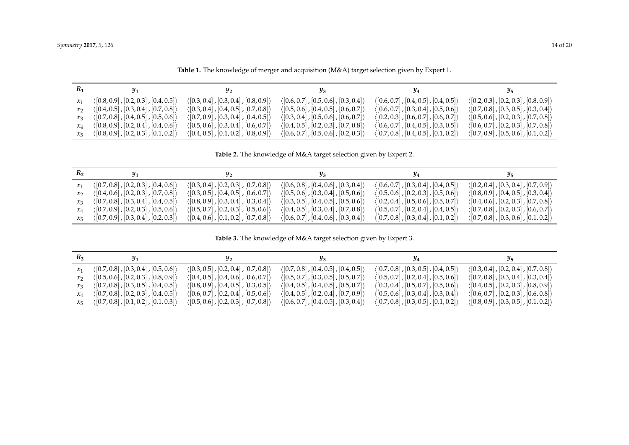|                   |                                                      | $\alpha$ . The set of $\alpha$ is the set of $\alpha$ is the set of $\alpha$ is the set of $\alpha$ is the set of $\alpha$ |                                                      |                                                      |                                                      |
|-------------------|------------------------------------------------------|----------------------------------------------------------------------------------------------------------------------------|------------------------------------------------------|------------------------------------------------------|------------------------------------------------------|
| $R_1$             |                                                      | $y_{2}$                                                                                                                    | 93                                                   | 94                                                   | $y_{5}$                                              |
|                   | $\langle [0.8, 0.9], [0.2, 0.3], [0.4, 0.5] \rangle$ | $\langle [0.3, 0.4], [0.3, 0.4], [0.8, 0.9] \rangle$                                                                       | $\langle [0.6, 0.7], [0.5, 0.6], [0.3, 0.4] \rangle$ | $\langle [0.6, 0.7], [0.4, 0.5], [0.4, 0.5] \rangle$ | $\langle [0.2, 0.3], [0.2, 0.3], [0.8, 0.9] \rangle$ |
| $\mathcal{X}_{2}$ | $\langle [0.4, 0.5], [0.3, 0.4], [0.7, 0.8] \rangle$ | $\langle [0.3, 0.4], [0.4, 0.5], [0.7, 0.8] \rangle$                                                                       | $\langle [0.5, 0.6]$ , $[0.4, 0.5]$ , $[0.6, 0.7]$   | $\langle [0.6, 0.7], [0.3, 0.4], [0.5, 0.6] \rangle$ | $\langle [0.7, 0.8], [0.3, 0.5], [0.3, 0.4] \rangle$ |
| $x_3$             | $\langle [0.7, 0.8], [0.4, 0.5], [0.5, 0.6] \rangle$ | $\langle [0.7, 0.9], [0.3, 0.4], [0.4, 0.5] \rangle$                                                                       | $\langle [0.3, 0.4], [0.5, 0.6], [0.6, 0.7] \rangle$ | $\langle [0.2, 0.3]$ , $[0.6, 0.7]$ , $[0.6, 0.7]$   | $\langle [0.5, 0.6], [0.2, 0.3], [0.7, 0.8] \rangle$ |
| $\mathcal{X}_4$   | $\langle [0.8, 0.9], [0.2, 0.4], [0.4, 0.6] \rangle$ | $\langle [0.5, 0.6], [0.3, 0.4], [0.6, 0.7] \rangle$                                                                       | $\langle [0.4, 0.5]$ , $[0.2, 0.3]$ , $[0.7, 0.8]$   | $\langle [0.6, 0.7], [0.4, 0.5], [0.3, 0.5] \rangle$ | $\langle [0.6, 0.7], [0.2, 0.3], [0.7, 0.8] \rangle$ |

**Table 1.** The knowledge of merger and acquisition (M&A) target selection given by Expert 1.

**Table 2.** The knowledge of M&A target selection given by Expert 2.

*x*<sub>5</sub> ([0.8, 0.9], [0.2, 0.3], [0.1, 0.2]) ([0.4, 0.5], [0.1, 0.2], [0.8, 0.9]) ([0.6, 0.7], [0.5, 0.6], [0.2, 0.3]) ([0.7, 0.8], [0.4, 0.5], [0.1, 0.2]) ([0.7, 0.9], [0.5, 0.6], [0.1, 0.2])

| $R_2$ | $y_1$                                                | $y_2$                                                | $\mathcal{Y}_3$                                              | 94                                                   | 95                                                   |
|-------|------------------------------------------------------|------------------------------------------------------|--------------------------------------------------------------|------------------------------------------------------|------------------------------------------------------|
|       | $\langle [0.7, 0.8], [0.2, 0.3], [0.4, 0.6] \rangle$ | $\langle [0.3, 0.4], [0.2, 0.3], [0.7, 0.8] \rangle$ | $\langle [0.6, 0.8], [0.4, 0.6], [0.3, 0.4] \rangle$         | $\langle [0.6, 0.7], [0.3, 0.4], [0.4, 0.5] \rangle$ | $\langle [0.2, 0.4], [0.3, 0.4], [0.7, 0.9] \rangle$ |
|       | $\langle [0.4, 0.6], [0.2, 0.3], [0.7, 0.8] \rangle$ | $\langle [0.3, 0.5]$ , $[0.4, 0.5]$ , $[0.6, 0.7]$   | $\langle [0.5, 0.6], [0.3, 0.4], [0.5, 0.6] \rangle$         | $\langle [0.5, 0.6], [0.2, 0.3], [0.5, 0.6] \rangle$ | $\langle [0.8, 0.9], [0.4, 0.5], [0.3, 0.4] \rangle$ |
|       | $\langle [0.7, 0.8], [0.3, 0.4], [0.4, 0.5] \rangle$ | $\langle [0.8, 0.9], [0.3, 0.4], [0.3, 0.4] \rangle$ | $\langle [0.3, 0.5], [0.4, 0.5], [0.5, 0.6] \rangle$         | $\langle [0.2, 0.4], [0.5, 0.6], [0.5, 0.7] \rangle$ | $\langle [0.4, 0.6], [0.2, 0.3], [0.7, 0.8] \rangle$ |
|       | $\langle [0.7, 0.9], [0.2, 0.3], [0.5, 0.6] \rangle$ | $\langle [0.5, 0.7], [0.2, 0.3], [0.5, 0.6] \rangle$ | $\langle [0.4, 0.5]$ , $[0.3, 0.4]$ , $[0.7, 0.8]$ $\rangle$ | $\langle [0.5, 0.7], [0.2, 0.4], [0.4, 0.5] \rangle$ | $\langle [0.7, 0.8], [0.2, 0.3], [0.6, 0.7] \rangle$ |
|       | $\langle [0.7, 0.9], [0.3, 0.4], [0.2, 0.3] \rangle$ | $\langle [0.4, 0.6]$ , $[0.1, 0.2]$ , $[0.7, 0.8]$   | $\langle [0.6, 0.7], [0.4, 0.6], [0.3, 0.4] \rangle$         | $\langle [0.7, 0.8], [0.3, 0.4], [0.1, 0.2] \rangle$ | $\langle [0.7, 0.8], [0.3, 0.6], [0.1, 0.2] \rangle$ |

**Table 3.** The knowledge of M&A target selection given by Expert 3.

<span id="page-13-1"></span><span id="page-13-0"></span>

| $R_3$ | $y_1$                                                | $y_2$                                                | $\mathcal{Y}_3$                                      | <i>y</i> <sub>4</sub>                                | 95.                                                  |
|-------|------------------------------------------------------|------------------------------------------------------|------------------------------------------------------|------------------------------------------------------|------------------------------------------------------|
|       | $\langle [0.7, 0.8], [0.3, 0.4], [0.5, 0.6] \rangle$ | $\langle [0.3, 0.5], [0.2, 0.4], [0.7, 0.8] \rangle$ | $\langle [0.7, 0.8]$ , $[0.4, 0.5]$ , $[0.4, 0.5]$   | $\langle [0.7, 0.8], [0.3, 0.5], [0.4, 0.5] \rangle$ | $\langle [0.3, 0.4], [0.2, 0.4], [0.7, 0.8] \rangle$ |
|       | $\langle [0.5, 0.6], [0.2, 0.3], [0.8, 0.9] \rangle$ | $\langle [0.4, 0.5]$ , $[0.4, 0.6]$ , $[0.6, 0.7]$   | $\langle [0.5, 0.7], [0.3, 0.5], [0.5, 0.7] \rangle$ | $\langle [0.5, 0.7], [0.2, 0.4], [0.5, 0.6] \rangle$ | $\langle [0.7, 0.8], [0.3, 0.4], [0.3, 0.4] \rangle$ |
|       | $\langle [0.7, 0.8], [0.3, 0.5], [0.4, 0.5] \rangle$ | $\langle [0.8, 0.9], [0.4, 0.5], [0.3, 0.5] \rangle$ | $\langle [0.4, 0.5]$ , $[0.4, 0.5]$ , $[0.5, 0.7]$   | $\langle [0.3, 0.4], [0.5, 0.7], [0.5, 0.6] \rangle$ | $\langle [0.4, 0.5], [0.2, 0.3], [0.8, 0.9] \rangle$ |
|       | $\langle [0.7, 0.8], [0.2, 0.3], [0.4, 0.5] \rangle$ | $\langle [0.6, 0.7], [0.2, 0.4], [0.5, 0.6] \rangle$ | $\langle [0.4, 0.5]$ , $[0.2, 0.4]$ , $[0.7, 0.9]$ ) | $\langle [0.5, 0.6], [0.3, 0.4], [0.3, 0.4] \rangle$ | $\langle [0.6, 0.7], [0.2, 0.3], [0.6, 0.8] \rangle$ |
|       | $\langle [0.7, 0.8], [0.1, 0.2], [0.1, 0.3] \rangle$ | $\langle [0.5, 0.6], [0.2, 0.3], [0.7, 0.8] \rangle$ | $\langle [0.6, 0.7], [0.4, 0.5], [0.3, 0.4] \rangle$ | $\langle [0.7, 0.8], [0.3, 0.5], [0.1, 0.2] \rangle$ | $\langle [0.8, 0.9], [0.3, 0.5], [0.1, 0.2] \rangle$ |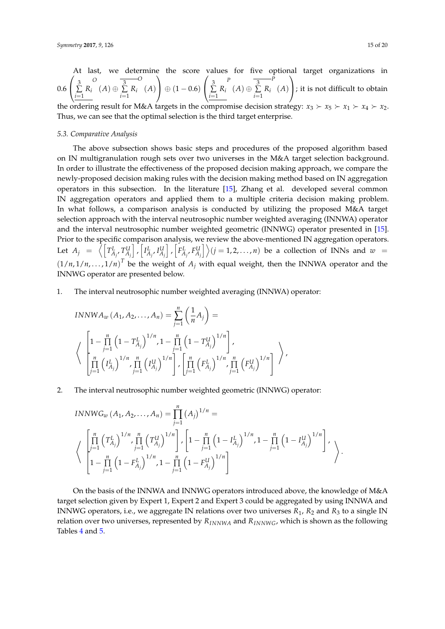At last, we determine the score values for five optional target organizations in  
\n
$$
0.6 \left( \sum_{i=1}^{3} R_i \left( A \right) \oplus \sum_{i=1}^{3} R_i \left( A \right) \right) \oplus (1 - 0.6) \left( \sum_{i=1}^{3} R_i \left( A \right) \oplus \sum_{i=1}^{3} R_i \left( A \right) \right);
$$
 it is not difficult to obtain  
\nthe ordinary result for M6A brackets in the comparison is a decision strategy.

the ordering result for M&A targets in the compromise decision strategy:  $x_3 \succ x_5 \succ x_1 \succ x_4 \succ x_2$ . Thus, we can see that the optimal selection is the third target enterprise.

#### *5.3. Comparative Analysis*

The above subsection shows basic steps and procedures of the proposed algorithm based on IN multigranulation rough sets over two universes in the M&A target selection background. In order to illustrate the effectiveness of the proposed decision making approach, we compare the newly-proposed decision making rules with the decision making method based on IN aggregation operators in this subsection. In the literature [\[15\]](#page-18-9), Zhang et al. developed several common IN aggregation operators and applied them to a multiple criteria decision making problem. In what follows, a comparison analysis is conducted by utilizing the proposed M&A target selection approach with the interval neutrosophic number weighted averaging (INNWA) operator and the interval neutrosophic number weighted geometric (INNWG) operator presented in [\[15\]](#page-18-9). Prior to the specific comparison analysis, we review the above-mentioned IN aggregation operators. Let  $A_j = \left\langle \left[T_{A_j}^L, T_{A_j}^U\right] \right\rangle$  $\left[$   $I_{A_j}^L, I_{A_j}^U\right]$  $\bigg]$ ,  $\bigg[ F_{A_j}^L, F_{A_j}^U \bigg] \bigg\rangle$   $(j = 1, 2, ..., n)$  be a collection of INNs and  $w =$  $(1/n, 1/n, ..., 1/n)^T$  be the weight of  $A_j$  with equal weight, then the INNWA operator and the INNWG operator are presented below.

1. The interval neutrosophic number weighted averaging (INNWA) operator:

$$
INNWA_w(A_1, A_2, ..., A_n) = \sum_{j=1}^n \left(\frac{1}{n}A_j\right) =
$$
\n
$$
\left\langle \begin{array}{c} \left[1 - \prod_{j=1}^n \left(1 - T_{A_j}^L\right)^{1/n}, 1 - \prod_{j=1}^n \left(1 - T_{A_j}^U\right)^{1/n} \right], \\ \prod_{j=1}^n \left(I_{A_j}^L\right)^{1/n}, \prod_{j=1}^n \left(I_{A_j}^U\right)^{1/n} \end{array} \right\rangle, \left[\prod_{j=1}^n \left(F_{A_j}^L\right)^{1/n}, \prod_{j=1}^n \left(F_{A_j}^U\right)^{1/n}\right] \right\rangle,
$$

2. The interval neutrosophic number weighted geometric (INNWG) operator:

$$
INNWG_w(A_1, A_2,..., A_n) = \prod_{j=1}^n (A_j)^{1/n} =
$$
\n
$$
\left\langle \prod_{j=1}^n \left( T_{A_j}^L \right)^{1/n}, \prod_{j=1}^n \left( T_{A_j}^U \right)^{1/n} \right], \left[ 1 - \prod_{j=1}^n \left( 1 - I_{A_j}^L \right)^{1/n}, 1 - \prod_{j=1}^n \left( 1 - I_{A_j}^U \right)^{1/n} \right],
$$
\n
$$
1 - \prod_{j=1}^n \left( 1 - F_{A_j}^L \right)^{1/n}, 1 - \prod_{j=1}^n \left( 1 - F_{A_j}^U \right)^{1/n} \right]
$$

On the basis of the INNWA and INNWG operators introduced above, the knowledge of M&A target selection given by Expert 1, Expert 2 and Expert 3 could be aggregated by using INNWA and INNWG operators, i.e., we aggregate IN relations over two universes  $R_1$ ,  $R_2$  and  $R_3$  to a single IN relation over two universes, represented by  $R_{INNWA}$  and  $R_{INNWG}$ , which is shown as the following Tables [4](#page-16-0) and [5.](#page-16-1)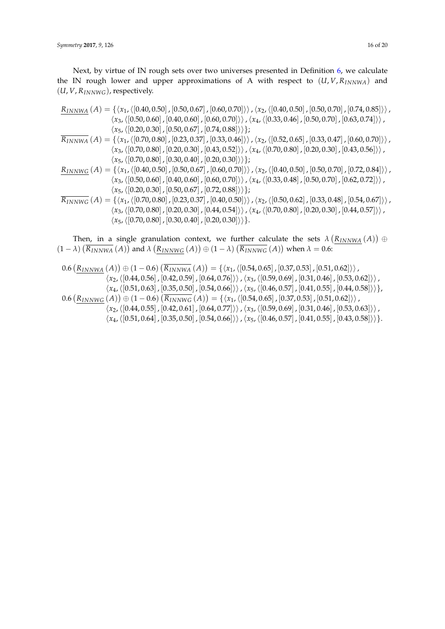Next, by virtue of IN rough sets over two universes presented in Definition [6,](#page-3-0) we calculate the IN rough lower and upper approximations of A with respect to (*U*, *V*, *RINNWA*) and (*U*, *V*, *RINNWG*), respectively.

$$
\frac{R_{INNWA}}{A} (A) = \{ \langle x_1, \langle [0.40, 0.50], [0.50, 0.67], [0.60, 0.70] \rangle \rangle, \langle x_2, \langle [0.40, 0.50], [0.50, 0.70], [0.74, 0.85] \rangle \rangle, \\ \langle x_3, \langle [0.50, 0.60], [0.40, 0.60], [0.60, 0.70] \rangle \rangle, \langle x_4, \langle [0.33, 0.46], [0.50, 0.70], [0.63, 0.74] \rangle \rangle, \\ \langle x_5, \langle [0.20, 0.30], [0.50, 0.67], [0.74, 0.88] \rangle \} \}
$$
\n
$$
\frac{R_{INNWA}}{A} (A) = \{ \langle x_1, \langle [0.70, 0.80], [0.23, 0.37], [0.33, 0.46] \rangle \rangle, \langle x_2, \langle [0.52, 0.65], [0.33, 0.47], [0.60, 0.70] \rangle \rangle, \\ \langle x_3, \langle [0.70, 0.80], [0.20, 0.30], [0.43, 0.52] \rangle \rangle, \langle x_4, \langle [0.70, 0.80], [0.20, 0.30], [0.43, 0.56] \rangle \rangle, \\ \langle x_5, \langle [0.70, 0.80], [0.30, 0.40], [0.20, 0.30] \rangle \} \}
$$
\n
$$
\frac{R_{INNWG}}{\langle x_3, \langle [0.50, 0.60], [0.40, 0.60], [0.60, 0.70] \rangle \rangle, \langle x_2, \langle [0.40, 0.50], [0.50, 0.70], [0.62, 0.72] \rangle \rangle, \\ \langle x_5, \langle [0.20, 0.30], [0.50, 0.67], [0.60, 0.70] \rangle \rangle, \langle x_4, \langle [0.33, 0.48], [0.50, 0.70], [0.62, 0.72] \rangle \rangle, \\ \langle x_5
$$

Then, in a single granulation context, we further calculate the sets  $\lambda\left(\frac{R_{INNWA}}{A}\right)$   $\oplus$  $(1 - \lambda)$   $(\overline{R_{INNWA}}(A))$  and  $\lambda (\underline{R_{INNWG}}(A)) \oplus (1 - \lambda) (\overline{R_{INNWG}}(A))$  when  $\lambda = 0.6$ :

$$
0.6 \left( \frac{R_{INNWA}}{M} (A) \right) \oplus (1 - 0.6) \left( \frac{R_{INNWA}}{M} (A) \right) = \left\{ \langle x_1, \langle [0.54, 0.65], [0.37, 0.53], [0.51, 0.62] \rangle \rangle, \\ \langle x_2, \langle [0.44, 0.56], [0.42, 0.59], [0.64, 0.76] \rangle \rangle, \langle x_3, \langle [0.59, 0.69], [0.31, 0.46], [0.53, 0.62] \rangle \rangle, \\ \langle x_4, \langle [0.51, 0.63], [0.35, 0.50], [0.54, 0.66] \rangle \rangle, \langle x_5, \langle [0.46, 0.57], [0.41, 0.55], [0.44, 0.58] \rangle \rangle \right\},
$$
\n
$$
0.6 \left( \frac{R_{INNWG}}{M} (A) \right) \oplus (1 - 0.6) \left( \frac{R_{INNWG}}{R_{INNWG}} (A) \right) = \left\{ \langle x_1, \langle [0.54, 0.65], [0.37, 0.53], [0.51, 0.62] \rangle \rangle, \\ \langle x_2, \langle [0.44, 0.55], [0.42, 0.61], [0.64, 0.77] \rangle \rangle, \langle x_3, \langle [0.59, 0.69], [0.31, 0.46], [0.53, 0.63] \rangle \rangle, \\ \langle x_4, \langle [0.51, 0.64], [0.35, 0.50], [0.54, 0.66] \rangle \rangle, \langle x_5, \langle [0.46, 0.57], [0.41, 0.55], [0.43, 0.58] \rangle \rangle \right\}.
$$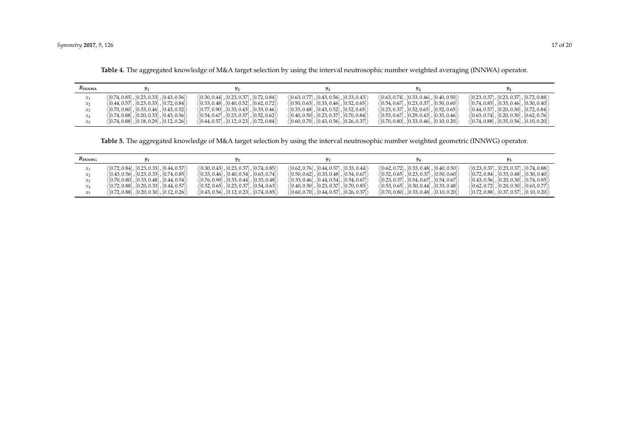| KINNWA          |                                                            |                                                                  |                                                                    |                                                                    |                                                            |
|-----------------|------------------------------------------------------------|------------------------------------------------------------------|--------------------------------------------------------------------|--------------------------------------------------------------------|------------------------------------------------------------|
| $\mathcal{X}_1$ | $(0.74, 0.85], [0.23, 0.33], [0.43, 0.56])$                | (0.30, 0.44, 0.23, 0.37, 0.72, 0.84)                             | $(0.63, 0.77], [0.43, 0.56], [0.33, 0.43])$                        | (0.63, 0.74, 0.33, 0.46, 0.40, 0.50)                               | $([0.23, 0.37], [0.23, 0.37], [0.72, 0.88])$               |
| $\mathcal{X}$   | $\langle [0.44, 0.57], [0.23, 0.33], [0.72, 0.84] \rangle$ | (0.33, 0.48, 0.40, 0.52, 0.62, 0.72))                            | $\langle [0.50, 0.63]$ , $[0.33, 0.46]$ , $[0.52, 0.65]$ $\rangle$ | (0.54, 0.67, 0.23, 0.37, 0.50, 0.60)                               | (0.74, 0.85, 0.33, 0.46, 0.30, 0.40)                       |
| $x_3$           | $(0.70, 0.80]$ , $[0.33, 0.46]$ , $[0.43, 0.52]$           | $([0.77, 0.90]$ , $[0.33, 0.43]$ , $[0.33, 0.46]$                | $( [0.33, 0.48]$ , $[0.43, 0.52]$ , $[0.52, 0.65]$ $\rangle$       | $\langle [0.23, 0.37], [0.52, 0.65], [0.52, 0.65] \rangle$         | (0.44, 0.57, 0.20, 0.30, 0.72, 0.84)                       |
| $x_4$           | $(0.74, 0.88]$ , $[0.20, 0.33]$ , $[0.43, 0.56]$           | $\langle [0.54, 0.67], [0.23, 0.37], [0.52, 0.62] \rangle$       | ([0.40, 0.50] , [0.23, 0.37] , [0.70, 0.84])                       | $\langle [0.53, 0.67]$ , $[0.29, 0.43]$ , $[0.33, 0.46]$ $\rangle$ | $\langle [0.63, 0.74], [0.20, 0.30], [0.62, 0.76] \rangle$ |
| $x_{5}$         | $\langle [0.74, 0.88]$ , $[0.18, 0.29]$ , $[0.12, 0.26]$   | $\langle [0.44, 0.57]$ , $[0.12, 0.23]$ , $[0.72, 0.84] \rangle$ | $(0.60, 0.70)$ , $[0.43, 0.56]$ , $[0.26, 0.37]$                   | $\langle [0.70, 0.80]$ , $[0.33, 0.46]$ , $[0.10, 0.20] \rangle$   | $(0.74, 0.88)$ , $[0.35, 0.56]$ , $[0.10, 0.20]$           |

**Table 4.** The aggregated knowledge of M&A target selection by using the interval neutrosophic number weighted averaging (INNWA) operator.

**Table 5.** The aggregated knowledge of M&A target selection by using the interval neutrosophic number weighted geometric (INNWG) operator.

<span id="page-16-1"></span><span id="page-16-0"></span>

| $R_{INNWG}$ |                                                                    |                                                                    |                                                                    |                                                  |                                                            |
|-------------|--------------------------------------------------------------------|--------------------------------------------------------------------|--------------------------------------------------------------------|--------------------------------------------------|------------------------------------------------------------|
|             | (0.72, 0.84, 0.23, 0.33, 0.44, 0.57))                              | (0.30, 0.43, 0.23, 0.37, 0.74, 0.85)                               | $(0.62, 0.76)$ , $[0.44, 0.57]$ , $[0.33, 0.44]$                   | $(0.62, 0.72)$ , $[0.33, 0.48]$ , $[0.40, 0.50]$ | $(0.23, 0.37], [0.23, 0.37], [0.74, 0.88])$                |
|             | $\langle [0.43, 0.56], [0.23, 0.33], [0.74, 0.85] \rangle$         | $(0.33, 0.46)$ , $[0.40, 0.54]$ , $[0.63, 0.74]$                   | $(0.50, 0.62)$ , $[0.33, 0.48]$ , $[0.54, 0.67]$                   | (0.52, 0.65, 0.23, 0.37, 0.50, 0.60)             | $\langle [0.72, 0.84], [0.33, 0.48], [0.30, 0.40] \rangle$ |
|             | $(0.70, 0.80]$ , $[0.33, 0.48]$ , $[0.44, 0.54]$                   | $(0.76, 0.90)$ , $[0.33, 0.44]$ , $[0.33, 0.48]$                   | $(0.33, 0.46)$ , $[0.44, 0.54]$ , $[0.54, 0.67]$                   | (0.23, 0.37, 0.54, 0.67, 0.54, 0.67)             | $(0.43, 0.56)$ , $[0.20, 0.30]$ , $[0.74, 0.85]$           |
|             | $\langle [0.72, 0.88]$ , $[0.20, 0.33]$ , $[0.44, 0.57]$ $\rangle$ | $\langle [0.52, 0.65]$ , $[0.23, 0.37]$ , $[0.54, 0.63]$ $\rangle$ | $\langle [0.40, 0.50]$ , $[0.23, 0.37]$ , $[0.70, 0.85] \rangle$   | (0.53, 0.65, 0.30, 0.44, 0.33, 0.48)             | (10.62, 0.72) . [0.20, 0.30] . [0.63, 0.77] }              |
|             | $\langle [0.72, 0.88]$ , $[0.20, 0.30]$ , $[0.12, 0.26]$           | $\langle [0.43, 0.56], [0.12, 0.23], [0.74, 0.85] \rangle$         | $\langle [0.60, 0.70]$ , $[0.44, 0.57]$ , $[0.26, 0.37]$ $\rangle$ | $(0.70, 0.80)$ , $[0.33, 0.48]$ , $[0.10, 0.20]$ | $\langle [0.72, 0.88], [0.37, 0.57], [0.10, 0.20] \rangle$ |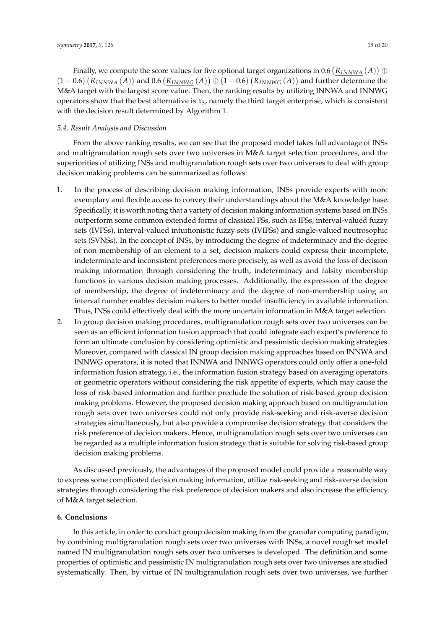Finally, we compute the score values for five optional target organizations in 0.6  $\left(R_{INNWA}\left(A\right)\right)\oplus$  $(1-0.6)\left(\overline{R_{INNWA}}(A)\right)$  and  $0.6\left(\underline{R_{INNWG}}(A)\right) \oplus (1-0.6)\left(\overline{R_{INNWG}}(A)\right)$  and further determine the M&A target with the largest score value. Then, the ranking results by utilizing INNWA and INNWG operators show that the best alternative is *x*3, namely the third target enterprise, which is consistent with the decision result determined by Algorithm [1.](#page-11-1)

## *5.4. Result Analysis and Discussion*

From the above ranking results, we can see that the proposed model takes full advantage of INSs and multigranulation rough sets over two universes in M&A target selection procedures, and the superiorities of utilizing INSs and multigranulation rough sets over two universes to deal with group decision making problems can be summarized as follows:

- 1. In the process of describing decision making information, INSs provide experts with more exemplary and flexible access to convey their understandings about the M&A knowledge base. Specifically, it is worth noting that a variety of decision making information systems based on INSs outperform some common extended forms of classical FSs, such as IFSs, interval-valued fuzzy sets (IVFSs), interval-valued intuitionistic fuzzy sets (IVIFSs) and single-valued neutrosophic sets (SVNSs). In the concept of INSs, by introducing the degree of indeterminacy and the degree of non-membership of an element to a set, decision makers could express their incomplete, indeterminate and inconsistent preferences more precisely, as well as avoid the loss of decision making information through considering the truth, indeterminacy and falsity membership functions in various decision making processes. Additionally, the expression of the degree of membership, the degree of indeterminacy and the degree of non-membership using an interval number enables decision makers to better model insufficiency in available information. Thus, INSs could effectively deal with the more uncertain information in M&A target selection.
- 2. In group decision making procedures, multigranulation rough sets over two universes can be seen as an efficient information fusion approach that could integrate each expert's preference to form an ultimate conclusion by considering optimistic and pessimistic decision making strategies. Moreover, compared with classical IN group decision making approaches based on INNWA and INNWG operators, it is noted that INNWA and INNWG operators could only offer a one-fold information fusion strategy, i.e., the information fusion strategy based on averaging operators or geometric operators without considering the risk appetite of experts, which may cause the loss of risk-based information and further preclude the solution of risk-based group decision making problems. However, the proposed decision making approach based on multigranulation rough sets over two universes could not only provide risk-seeking and risk-averse decision strategies simultaneously, but also provide a compromise decision strategy that considers the risk preference of decision makers. Hence, multigranulation rough sets over two universes can be regarded as a multiple information fusion strategy that is suitable for solving risk-based group decision making problems.

As discussed previously, the advantages of the proposed model could provide a reasonable way to express some complicated decision making information, utilize risk-seeking and risk-averse decision strategies through considering the risk preference of decision makers and also increase the efficiency of M&A target selection.

# <span id="page-17-0"></span>**6. Conclusions**

In this article, in order to conduct group decision making from the granular computing paradigm, by combining multigranulation rough sets over two universes with INSs, a novel rough set model named IN multigranulation rough sets over two universes is developed. The definition and some properties of optimistic and pessimistic IN multigranulation rough sets over two universes are studied systematically. Then, by virtue of IN multigranulation rough sets over two universes, we further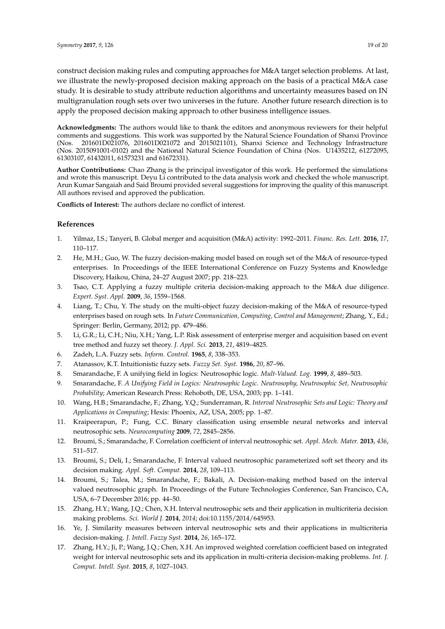construct decision making rules and computing approaches for M&A target selection problems. At last, we illustrate the newly-proposed decision making approach on the basis of a practical M&A case study. It is desirable to study attribute reduction algorithms and uncertainty measures based on IN multigranulation rough sets over two universes in the future. Another future research direction is to apply the proposed decision making approach to other business intelligence issues.

**Acknowledgments:** The authors would like to thank the editors and anonymous reviewers for their helpful comments and suggestions. This work was supported by the Natural Science Foundation of Shanxi Province (Nos. 201601D021076, 201601D021072 and 2015021101), Shanxi Science and Technology Infrastructure (Nos. 2015091001-0102) and the National Natural Science Foundation of China (Nos. U1435212, 61272095, 61303107, 61432011, 61573231 and 61672331).

**Author Contributions:** Chao Zhang is the principal investigator of this work. He performed the simulations and wrote this manuscript. Deyu Li contributed to the data analysis work and checked the whole manuscript. Arun Kumar Sangaiah and Said Broumi provided several suggestions for improving the quality of this manuscript. All authors revised and approved the publication.

**Conflicts of Interest:** The authors declare no conflict of interest.

#### **References**

- <span id="page-18-0"></span>1. Yilmaz, I.S.; Tanyeri, B. Global merger and acquisition (M&A) activity: 1992–2011. *Financ. Res. Lett.* **2016**, *17*, 110–117.
- <span id="page-18-1"></span>2. He, M.H.; Guo, W. The fuzzy decision-making model based on rough set of the M&A of resource-typed enterprises. In Proceedings of the IEEE International Conference on Fuzzy Systems and Knowledge Discovery, Haikou, China, 24–27 August 2007; pp. 218–223.
- 3. Tsao, C.T. Applying a fuzzy multiple criteria decision-making approach to the M&A due diligence. *Expert. Syst. Appl.* **2009**, *36*, 1559–1568.
- 4. Liang, T.; Chu, Y. The study on the multi-object fuzzy decision-making of the M&A of resource-typed enterprises based on rough sets. In *Future Communication, Computing, Control and Management*; Zhang, Y., Ed.; Springer: Berlin, Germany, 2012; pp. 479–486.
- <span id="page-18-2"></span>5. Li, G.R.; Li, C.H.; Niu, X.H.; Yang, L.P. Risk assessment of enterprise merger and acquisition based on event tree method and fuzzy set theory. *J. Appl. Sci.* **2013**, *21*, 4819–4825.
- <span id="page-18-3"></span>6. Zadeh, L.A. Fuzzy sets. *Inform. Control.* **1965**, *8*, 338–353.
- <span id="page-18-4"></span>7. Atanassov, K.T. Intuitionistic fuzzy sets. *Fuzzy Set. Syst.* **1986**, *20*, 87–96.
- <span id="page-18-5"></span>8. Smarandache, F. A unifying field in logics: Neutrosophic logic. *Mult-Valued. Log.* **1999**, *8*, 489–503.
- <span id="page-18-6"></span>9. Smarandache, F. *A Unifying Field in Logics: Neutrosophic Logic. Neutrosophy, Neutrosophic Set, Neutrosophic Probability*; American Research Press: Rehoboth, DE, USA, 2003; pp. 1–141.
- <span id="page-18-7"></span>10. Wang, H.B.; Smarandache, F.; Zhang, Y.Q.; Sunderraman, R. *Interval Neutrosophic Sets and Logic: Theory and Applications in Computing*; Hexis: Phoenix, AZ, USA, 2005; pp. 1–87.
- <span id="page-18-8"></span>11. Kraipeerapun, P.; Fung, C.C. Binary classification using ensemble neural networks and interval neutrosophic sets. *Neurocomputing* **2009**, *72*, 2845–2856.
- 12. Broumi, S.; Smarandache, F. Correlation coefficient of interval neutrosophic set. *Appl. Mech. Mater.* **2013**, *436*, 511–517.
- 13. Broumi, S.; Deli, I.; Smarandache, F. Interval valued neutrosophic parameterized soft set theory and its decision making. *Appl. Soft. Comput.* **2014**, *28*, 109–113.
- 14. Broumi, S.; Talea, M.; Smarandache, F.; Bakali, A. Decision-making method based on the interval valued neutrosophic graph. In Proceedings of the Future Technologies Conference, San Francisco, CA, USA, 6–7 December 2016; pp. 44–50.
- <span id="page-18-9"></span>15. Zhang, H.Y.; Wang, J.Q.; Chen, X.H. Interval neutrosophic sets and their application in multicriteria decision making problems. *Sci. World J.* **2014**, *2014*; doi:10.1155/2014/645953.
- 16. Ye, J. Similarity measures between interval neutrosophic sets and their applications in multicriteria decision-making. *J. Intell. Fuzzy Syst.* **2014**, *26*, 165–172.
- 17. Zhang, H.Y.; Ji, P.; Wang, J.Q.; Chen, X.H. An improved weighted correlation coefficient based on integrated weight for interval neutrosophic sets and its application in multi-criteria decision-making problems. *Int. J. Comput. Intell. Syst.* **2015**, *8*, 1027–1043.